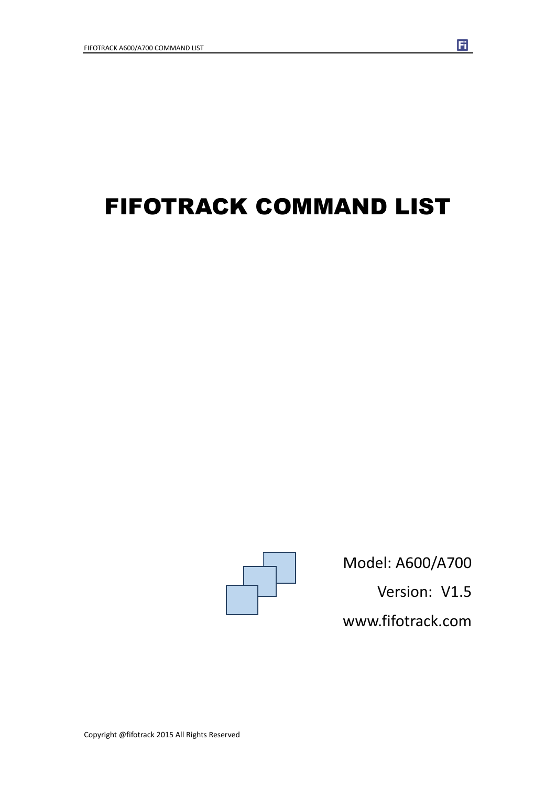# FIFOTRACK COMMAND LIST



Model: A600/A700 Version: V1.5

 $\overline{\mathbf{H}}$ 

www.fifotrack.com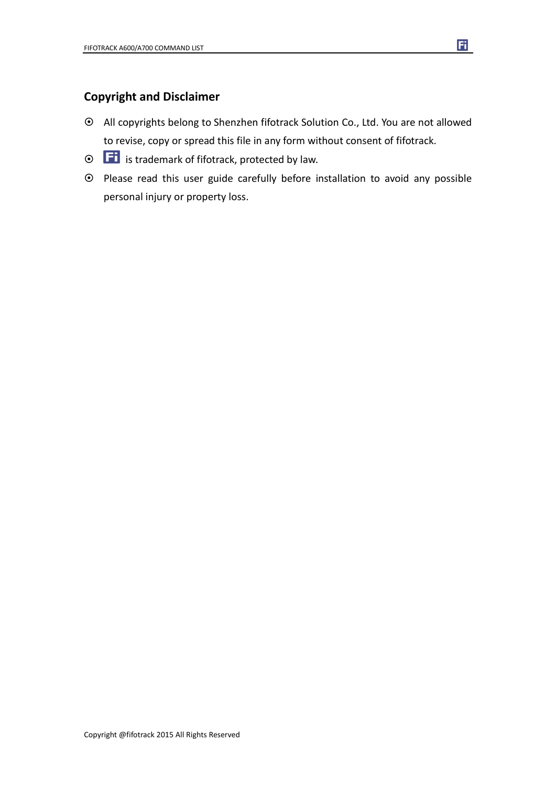### **Copyright and Disclaimer**

- All copyrights belong to Shenzhen fifotrack Solution Co., Ltd. You are not allowed to revise, copy or spread this file in any form without consent of fifotrack.
- $\odot$   $\Box$  is trademark of fifotrack, protected by law.
- Please read this user guide carefully before installation to avoid any possible personal injury or property loss.

 $\mathbf{F}$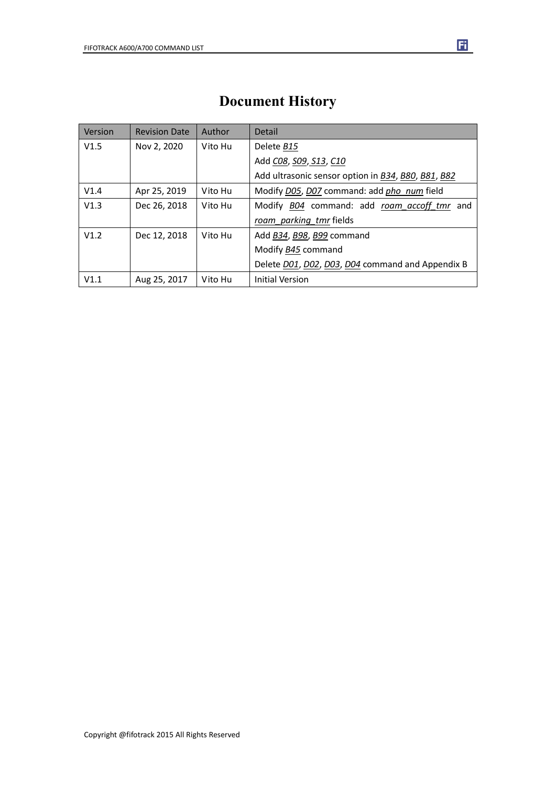| Version | <b>Revision Date</b> | Author  | Detail                                             |
|---------|----------------------|---------|----------------------------------------------------|
| V1.5    | Nov 2, 2020          | Vito Hu | Delete B15                                         |
|         |                      |         | Add CO8, SO9, S13, C10                             |
|         |                      |         | Add ultrasonic sensor option in B34, B80, B81, B82 |
| V1.4    | Apr 25, 2019         | Vito Hu | Modify D05, D07 command: add pho num field         |
| V1.3    | Dec 26, 2018         | Vito Hu | Modify B04 command: add roam accoff tmr and        |
|         |                      |         | roam parking tmr fields                            |
| V1.2    | Dec 12, 2018         | Vito Hu | Add B34, B98, B99 command                          |
|         |                      |         | Modify B45 command                                 |
|         |                      |         | Delete D01, D02, D03, D04 command and Appendix B   |
| V1.1    | Aug 25, 2017         | Vito Hu | <b>Initial Version</b>                             |

### **Document History**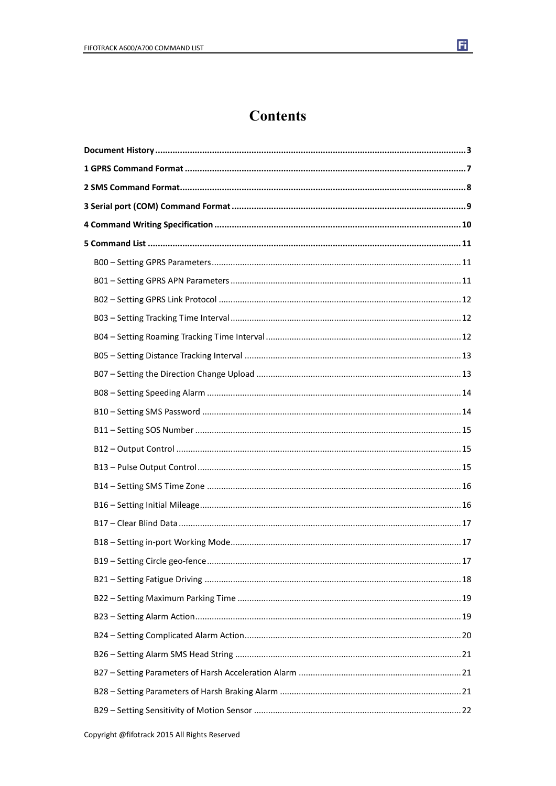

### **Contents**

| . 17 |  |
|------|--|
|      |  |
|      |  |
|      |  |
|      |  |
|      |  |
|      |  |
|      |  |
|      |  |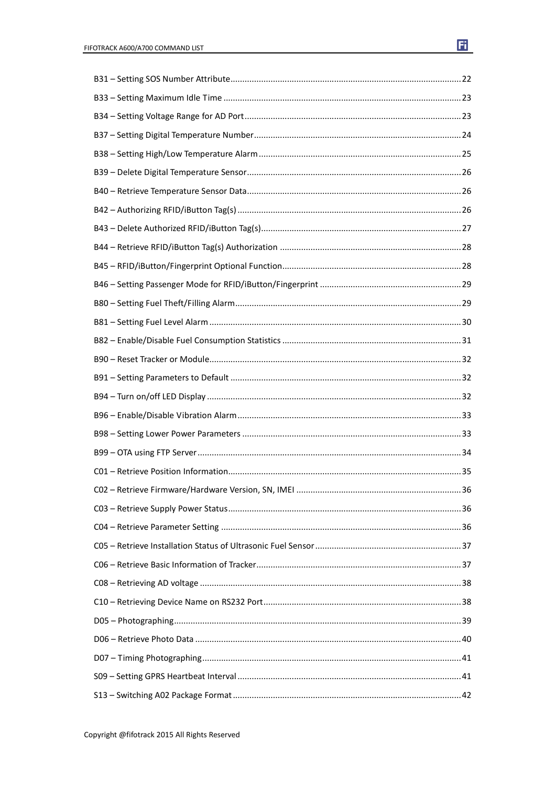| 36 |
|----|
|    |
|    |
|    |
|    |
|    |
|    |
|    |
|    |
|    |
|    |
|    |
|    |

Copyright @fifotrack 2015 All Rights Reserved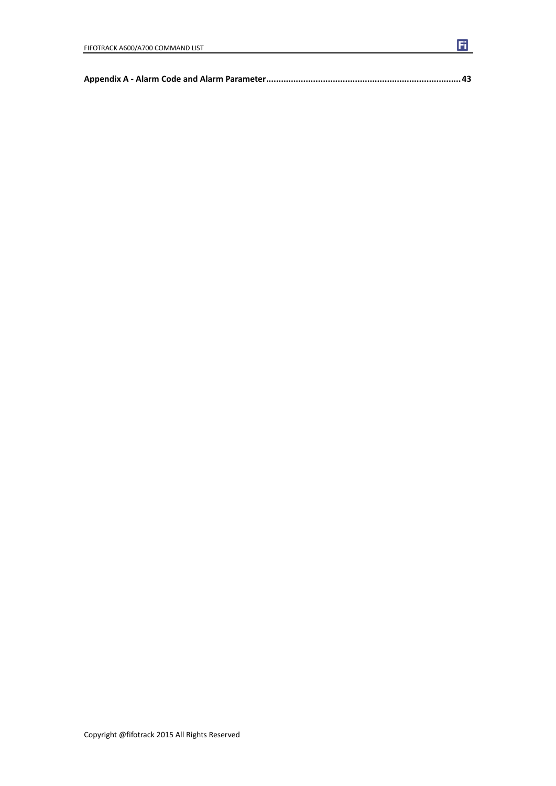|--|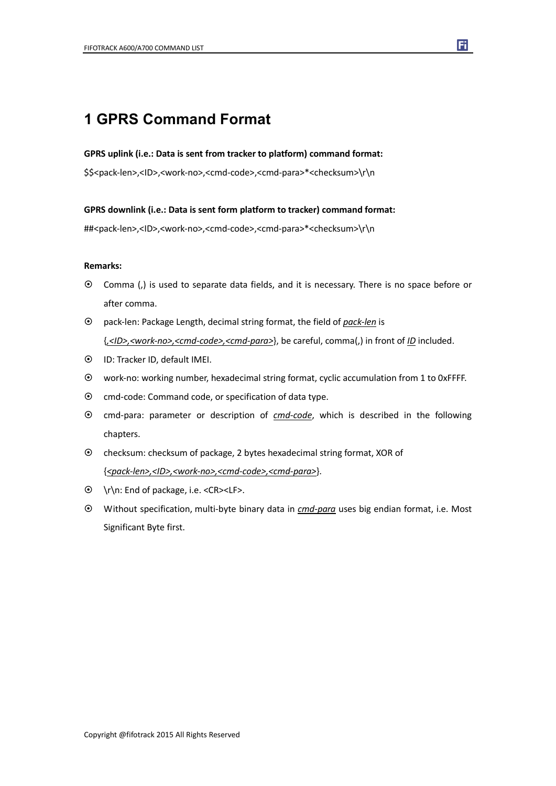### **1 GPRS Command Format**

#### **GPRS uplink (i.e.: Data is sent from tracker to platform) command format:**

\$\$<pack-len>,<ID>,<work-no>,<cmd-code>,<cmd-para>\*<checksum>\r\n

**GPRS downlink (i.e.: Data is sent form platform to tracker) command format:**

##<pack-len>,<ID>,<work-no>,<cmd-code>,<cmd-para>\*<checksum>\r\n

#### **Remarks:**

- Comma (,) is used to separate data fields, and it is necessary. There is no space before or after comma.
- pack-len: Package Length, decimal string format, the field of *pack-len* is {*,<ID>,<work-no>,<cmd-code>,<cmd-para>*}, be careful, comma(,) in front of *ID* included.
- ID: Tracker ID, default IMEI.
- work-no: working number, hexadecimal string format, cyclic accumulation from 1 to 0xFFFF.
- $\odot$  cmd-code: Command code, or specification of data type.
- cmd-para: parameter or description of *cmd-code*, which is described in the following chapters.
- checksum: checksum of package, 2 bytes hexadecimal string format, XOR of {*<pack-len>,<ID>,<work-no>,<cmd-code>,<cmd-para>*}.
- \r\n: End of package, i.e. <CR><LF>.
- Without specification, multi-byte binary data in *cmd-para* uses big endian format, i.e. Most Significant Byte first.

Copyright @fifotrack 2015 All Rights Reserved

F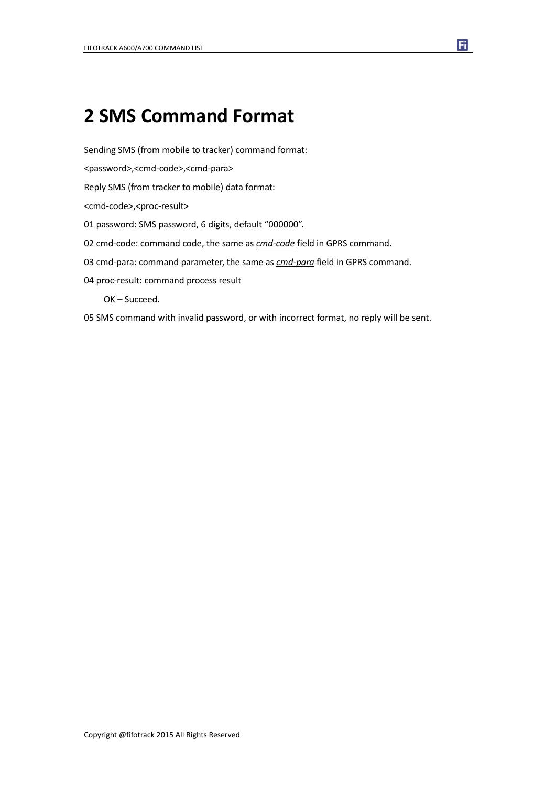## **2 SMS Command Format**

Sending SMS (from mobile to tracker) command format:

<password>,<cmd-code>,<cmd-para>

Reply SMS (from tracker to mobile) data format:

<cmd-code>,<proc-result>

01 password: SMS password, 6 digits, default "000000".

02 cmd-code: command code, the same as *cmd-code* field in GPRS command.

03 cmd-para: command parameter, the same as *cmd-para* field in GPRS command.

Fi

04 proc-result: command process result

OK – Succeed.

05 SMS command with invalid password, or with incorrect format, no reply will be sent.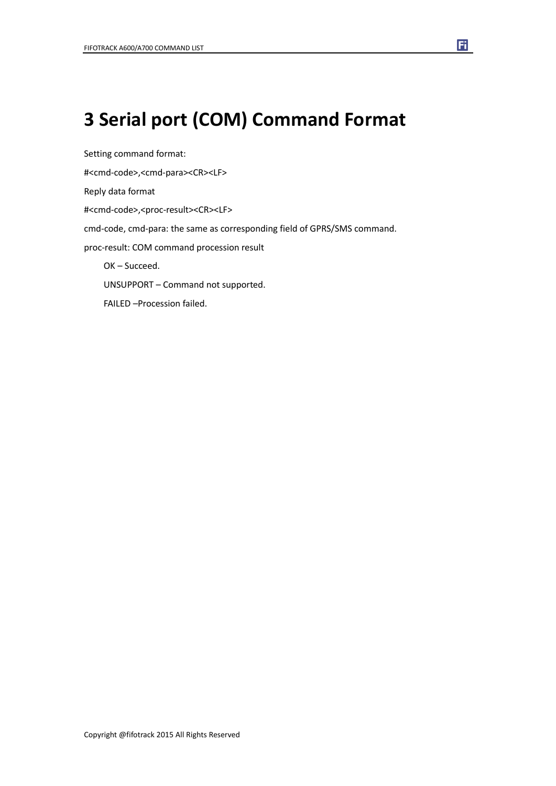## **3 Serial port (COM) Command Format**

Setting command format: #<cmd-code>,<cmd-para><CR><LF> Reply data format #<cmd-code>,<proc-result><CR><LF> cmd-code, cmd-para: the same as corresponding field of GPRS/SMS command. proc-result: COM command procession result OK – Succeed. UNSUPPORT – Command not supported. FAILED –Procession failed.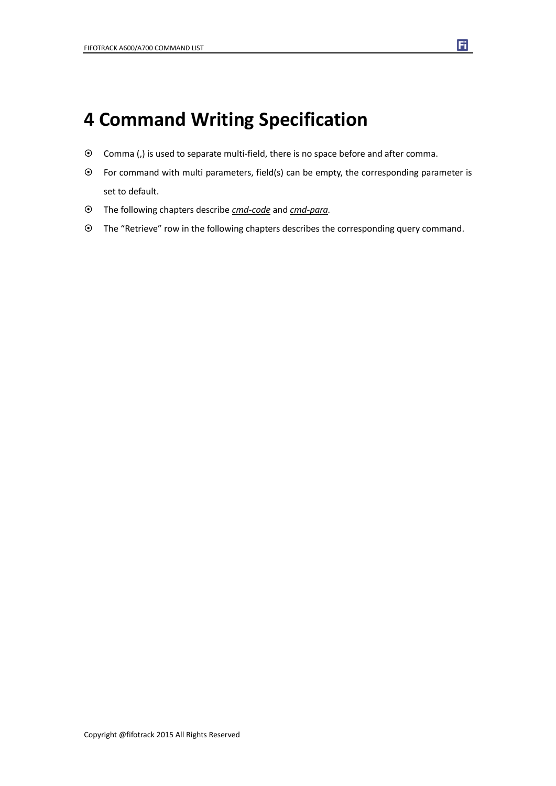## **4 Command Writing Specification**

- Comma (,) is used to separate multi-field, there is no space before and after comma.
- $\odot$  For command with multi parameters, field(s) can be empty, the corresponding parameter is set to default.
- The following chapters describe *cmd-code* and *cmd-para.*
- The "Retrieve" row in the following chapters describes the corresponding query command.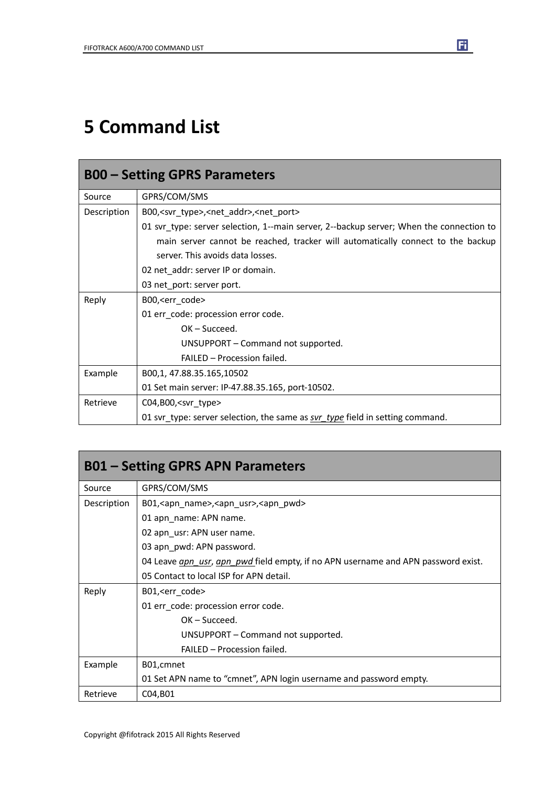## **5 Command List**

| <b>B00 – Setting GPRS Parameters</b> |                                                                                         |  |
|--------------------------------------|-----------------------------------------------------------------------------------------|--|
| Source                               | GPRS/COM/SMS                                                                            |  |
| Description                          | B00, <svr_type>,<net_addr>,<net_port></net_port></net_addr></svr_type>                  |  |
|                                      | 01 svr type: server selection, 1--main server, 2--backup server; When the connection to |  |
|                                      | main server cannot be reached, tracker will automatically connect to the backup         |  |
|                                      | server. This avoids data losses.                                                        |  |
|                                      | 02 net_addr: server IP or domain.                                                       |  |
|                                      | 03 net_port: server port.                                                               |  |
| Reply                                | B00, <err code=""></err>                                                                |  |
|                                      | 01 err_code: procession error code.                                                     |  |
|                                      | $OK - Succeed.$                                                                         |  |
|                                      | UNSUPPORT – Command not supported.                                                      |  |
|                                      | <b>FAILED - Procession failed.</b>                                                      |  |
| Example                              | B00,1, 47.88.35.165,10502                                                               |  |
|                                      | 01 Set main server: IP-47.88.35.165, port-10502.                                        |  |
| Retrieve                             | $CO4, B00,$ <svr type=""></svr>                                                         |  |
|                                      | 01 svr_type: server selection, the same as svr_type field in setting command.           |  |

| <b>B01 – Setting GPRS APN Parameters</b> |                                                                                   |  |
|------------------------------------------|-----------------------------------------------------------------------------------|--|
| Source                                   | GPRS/COM/SMS                                                                      |  |
| Description                              | B01, <app name="">, <app usr="">, <app pwd=""></app></app></app>                  |  |
|                                          | 01 apn name: APN name.                                                            |  |
|                                          | 02 apn_usr: APN user name.                                                        |  |
|                                          | 03 apn_pwd: APN password.                                                         |  |
|                                          | 04 Leave gpn usr, apn pwd field empty, if no APN username and APN password exist. |  |
|                                          | 05 Contact to local ISP for APN detail.                                           |  |
| Reply                                    | B01, <err code=""></err>                                                          |  |
|                                          | 01 err_code: procession error code.                                               |  |
|                                          | $OK - Succeed.$                                                                   |  |
|                                          | UNSUPPORT – Command not supported.                                                |  |
|                                          | FAILED - Procession failed.                                                       |  |
| Example                                  | B01, cmnet                                                                        |  |
|                                          | 01 Set APN name to "cmnet", APN login username and password empty.                |  |
| Retrieve                                 | C04, B01                                                                          |  |

圃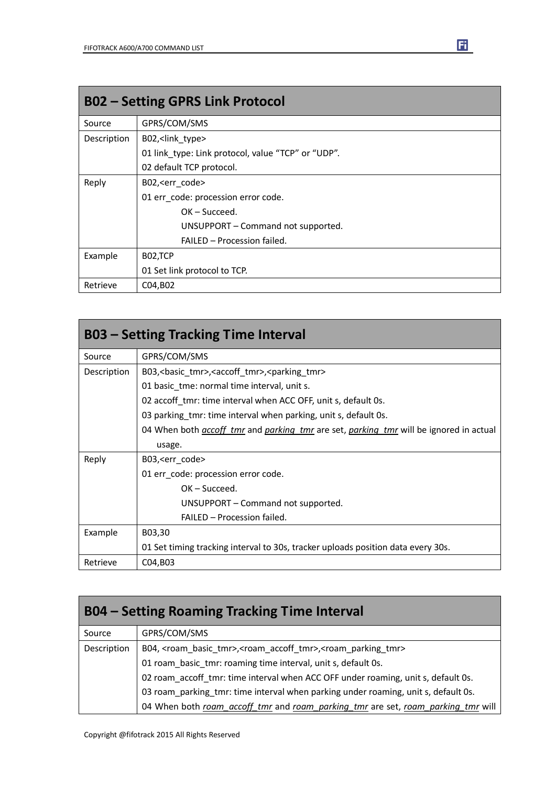| <b>B02 - Setting GPRS Link Protocol</b> |                                                    |  |
|-----------------------------------------|----------------------------------------------------|--|
| Source                                  | GPRS/COM/SMS                                       |  |
| Description                             | B02, <link type=""/>                               |  |
|                                         | 01 link type: Link protocol, value "TCP" or "UDP". |  |
|                                         | 02 default TCP protocol.                           |  |
| Reply                                   | B02, <err code=""></err>                           |  |
|                                         | 01 err_code: procession error code.                |  |
|                                         | $OK - Succeed.$                                    |  |
|                                         | UNSUPPORT - Command not supported.                 |  |
|                                         | FAILED - Procession failed.                        |  |
| Example                                 | B02,TCP                                            |  |
|                                         | 01 Set link protocol to TCP.                       |  |
| Retrieve                                | C04, B02                                           |  |

| <b>B03 – Setting Tracking Time Interval</b> |                                                                                                             |  |
|---------------------------------------------|-------------------------------------------------------------------------------------------------------------|--|
| Source                                      | GPRS/COM/SMS                                                                                                |  |
| Description                                 | B03, < basic tmr>, < accoff tmr>, < parking tmr>                                                            |  |
|                                             | 01 basic tme: normal time interval, unit s.                                                                 |  |
|                                             | 02 accoff tmr: time interval when ACC OFF, unit s, default 0s.                                              |  |
|                                             | 03 parking tmr: time interval when parking, unit s, default 0s.                                             |  |
|                                             | 04 When both <i>accoff tmr</i> and <i>parking tmr</i> are set, <i>parking tmr</i> will be ignored in actual |  |
|                                             | usage.                                                                                                      |  |
| Reply                                       | B03, <err code=""></err>                                                                                    |  |
|                                             | 01 err code: procession error code.                                                                         |  |
|                                             | $OK - Succeed.$                                                                                             |  |
|                                             | UNSUPPORT – Command not supported.                                                                          |  |
|                                             | FAILED - Procession failed.                                                                                 |  |
| Example                                     | B03,30                                                                                                      |  |
|                                             | 01 Set timing tracking interval to 30s, tracker uploads position data every 30s.                            |  |
| Retrieve                                    | C04, B03                                                                                                    |  |

| <b>B04 – Setting Roaming Tracking Time Interval</b> |                                                                                                                  |  |
|-----------------------------------------------------|------------------------------------------------------------------------------------------------------------------|--|
| Source                                              | GPRS/COM/SMS                                                                                                     |  |
| Description                                         | B04, <roam_basic_tmr>,<roam_accoff_tmr>,<roam_parking_tmr></roam_parking_tmr></roam_accoff_tmr></roam_basic_tmr> |  |
|                                                     | 01 roam_basic_tmr: roaming time interval, unit s, default 0s.                                                    |  |
|                                                     | 02 roam_accoff_tmr: time interval when ACC OFF under roaming, unit s, default 0s.                                |  |
|                                                     | 03 roam parking tmr: time interval when parking under roaming, unit s, default 0s.                               |  |
|                                                     | 04 When both roam_accoff_tmr and roam_parking_tmr are set, roam_parking_tmr will                                 |  |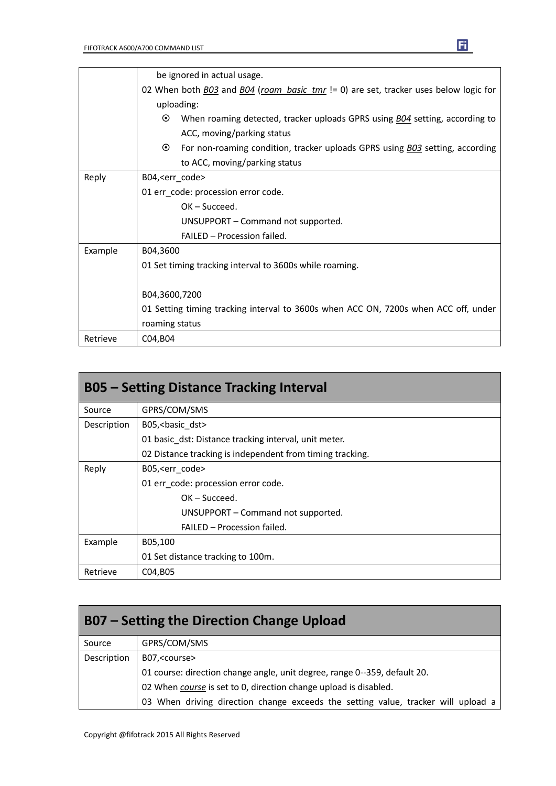|          | be ignored in actual usage.                                                                    |  |
|----------|------------------------------------------------------------------------------------------------|--|
|          | 02 When both B03 and B04 (roam_basic_tmr != 0) are set, tracker uses below logic for           |  |
|          | uploading:                                                                                     |  |
|          | $\odot$<br>When roaming detected, tracker uploads GPRS using <b>BO4</b> setting, according to  |  |
|          | ACC, moving/parking status                                                                     |  |
|          | $\odot$<br>For non-roaming condition, tracker uploads GPRS using <b>BO3</b> setting, according |  |
|          | to ACC, moving/parking status                                                                  |  |
| Reply    | B04, <err_code></err_code>                                                                     |  |
|          | 01 err_code: procession error code.                                                            |  |
|          | $OK - Succeed.$                                                                                |  |
|          | UNSUPPORT - Command not supported.                                                             |  |
|          | FAILED - Procession failed.                                                                    |  |
| Example  | B04,3600                                                                                       |  |
|          | 01 Set timing tracking interval to 3600s while roaming.                                        |  |
|          |                                                                                                |  |
|          | B04,3600,7200                                                                                  |  |
|          | 01 Setting timing tracking interval to 3600s when ACC ON, 7200s when ACC off, under            |  |
|          | roaming status                                                                                 |  |
| Retrieve | C04, B04                                                                                       |  |

| <b>B05 - Setting Distance Tracking Interval</b> |                                                           |  |
|-------------------------------------------------|-----------------------------------------------------------|--|
| Source                                          | GPRS/COM/SMS                                              |  |
| Description                                     | B05,<br>basic_dst>                                        |  |
|                                                 | 01 basic dst: Distance tracking interval, unit meter.     |  |
|                                                 | 02 Distance tracking is independent from timing tracking. |  |
| Reply                                           | B05, <err code=""></err>                                  |  |
|                                                 | 01 err code: procession error code.                       |  |
|                                                 | $OK - Succeed.$                                           |  |
|                                                 | UNSUPPORT – Command not supported.                        |  |
|                                                 | FAILED - Procession failed.                               |  |
| Example                                         | B05,100                                                   |  |
|                                                 | 01 Set distance tracking to 100m.                         |  |
| Retrieve                                        | C04, B05                                                  |  |

| B07 – Setting the Direction Change Upload |                                                                                   |  |
|-------------------------------------------|-----------------------------------------------------------------------------------|--|
| Source                                    | GPRS/COM/SMS                                                                      |  |
| Description                               | B07, <course></course>                                                            |  |
|                                           | 01 course: direction change angle, unit degree, range 0--359, default 20.         |  |
|                                           | 02 When course is set to 0, direction change upload is disabled.                  |  |
|                                           | 03 When driving direction change exceeds the setting value, tracker will upload a |  |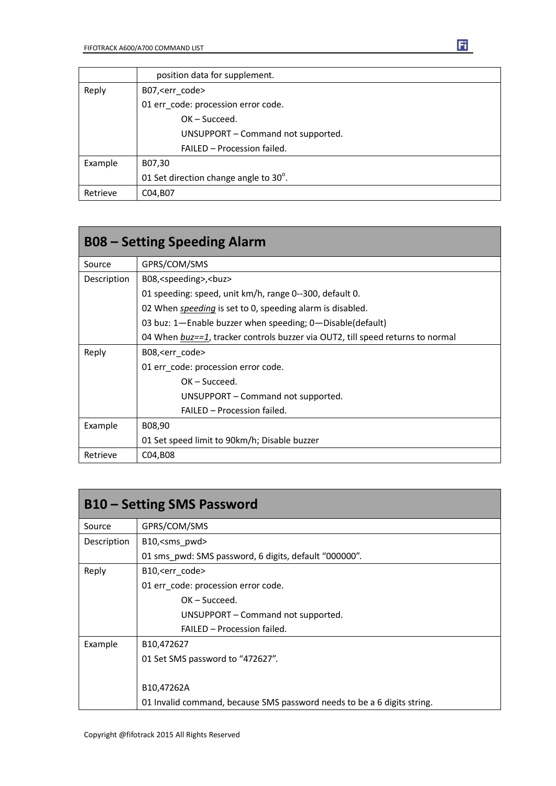|          | position data for supplement.         |
|----------|---------------------------------------|
| Reply    | B07, <err code=""></err>              |
|          | 01 err code: procession error code.   |
|          | $OK - Succeed.$                       |
|          | UNSUPPORT - Command not supported.    |
|          | FAILED - Procession failed.           |
| Example  | B07,30                                |
|          | 01 Set direction change angle to 30°. |
| Retrieve | C04, B07                              |

| <b>B08 – Setting Speeding Alarm</b> |                                                                                |
|-------------------------------------|--------------------------------------------------------------------------------|
| Source                              | GPRS/COM/SMS                                                                   |
| Description                         | B08, <speeding>,<br/>buz&gt;</speeding>                                        |
|                                     | 01 speeding: speed, unit km/h, range 0--300, default 0.                        |
|                                     | 02 When <i>speeding</i> is set to 0, speeding alarm is disabled.               |
|                                     | 03 buz: 1-Enable buzzer when speeding; 0-Disable(default)                      |
|                                     | 04 When buz==1, tracker controls buzzer via OUT2, till speed returns to normal |
| Reply                               | B08, <err_code></err_code>                                                     |
|                                     | 01 err_code: procession error code.                                            |
|                                     | $OK - Succeed.$                                                                |
|                                     | UNSUPPORT – Command not supported.                                             |
|                                     | FAILED - Procession failed.                                                    |
| Example                             | B08,90                                                                         |
|                                     | 01 Set speed limit to 90km/h; Disable buzzer                                   |
| Retrieve                            | C04, B08                                                                       |

| <b>B10 – Setting SMS Password</b> |                                                                         |
|-----------------------------------|-------------------------------------------------------------------------|
| Source                            | GPRS/COM/SMS                                                            |
| Description                       | B10, <sms pwd=""></sms>                                                 |
|                                   | 01 sms pwd: SMS password, 6 digits, default "000000".                   |
| Reply                             | B10, <err code=""></err>                                                |
|                                   | 01 err code: procession error code.                                     |
|                                   | $OK - Succeed.$                                                         |
|                                   | UNSUPPORT – Command not supported.                                      |
|                                   | FAILED - Procession failed.                                             |
| Example                           | B <sub>10</sub> ,472627                                                 |
|                                   | 01 Set SMS password to "472627".                                        |
|                                   |                                                                         |
|                                   | B10,47262A                                                              |
|                                   | 01 Invalid command, because SMS password needs to be a 6 digits string. |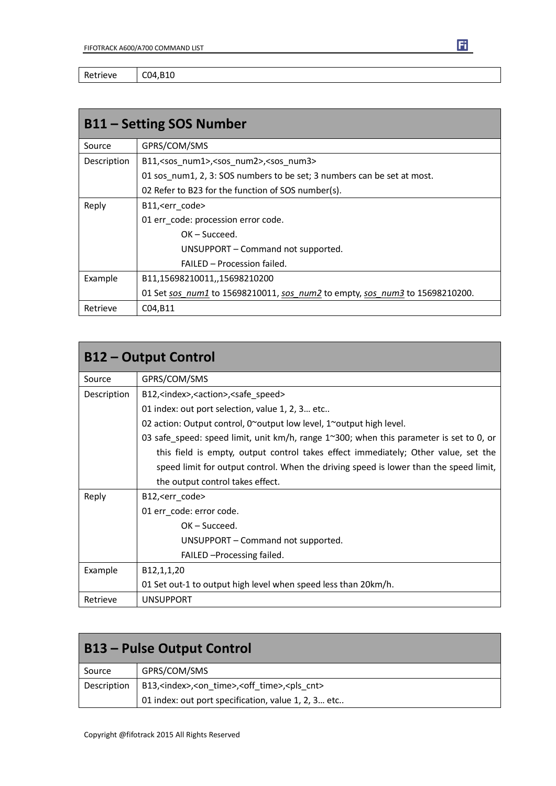Retrieve | C04,B10

| <b>B11 – Setting SOS Number</b> |                                                                             |
|---------------------------------|-----------------------------------------------------------------------------|
| Source                          | GPRS/COM/SMS                                                                |
| Description                     | B11, <sos num1="">,<sos num2="">,<sos num3=""></sos></sos></sos>            |
|                                 | 01 sos num1, 2, 3: SOS numbers to be set; 3 numbers can be set at most.     |
|                                 | 02 Refer to B23 for the function of SOS number(s).                          |
| Reply                           | B11, <err code=""></err>                                                    |
|                                 | 01 err code: procession error code.                                         |
|                                 | $OK - Succeed.$                                                             |
|                                 | UNSUPPORT - Command not supported.                                          |
|                                 | FAILED - Procession failed.                                                 |
| Example                         | B11,15698210011,,15698210200                                                |
|                                 | 01 Set sos num1 to 15698210011, sos num2 to empty, sos num3 to 15698210200. |
| Retrieve                        | C04, B11                                                                    |

| <b>B12 - Output Control</b> |                                                                                         |
|-----------------------------|-----------------------------------------------------------------------------------------|
| Source                      | GPRS/COM/SMS                                                                            |
| Description                 | B12, <index>,<action>,<safe speed=""></safe></action></index>                           |
|                             | 01 index: out port selection, value 1, 2, 3 etc                                         |
|                             | 02 action: Output control, $0^{\sim}$ output low level, 1 $^{\sim}$ output high level.  |
|                             | 03 safe_speed: speed limit, unit km/h, range 1~300; when this parameter is set to 0, or |
|                             | this field is empty, output control takes effect immediately; Other value, set the      |
|                             | speed limit for output control. When the driving speed is lower than the speed limit,   |
|                             | the output control takes effect.                                                        |
| Reply                       | B12, <err code=""></err>                                                                |
|                             | 01 err_code: error code.                                                                |
|                             | $OK - Succeed.$                                                                         |
|                             | UNSUPPORT - Command not supported.                                                      |
|                             | FAILED - Processing failed.                                                             |
| Example                     | B12,1,1,20                                                                              |
|                             | 01 Set out-1 to output high level when speed less than 20km/h.                          |
| Retrieve                    | <b>UNSUPPORT</b>                                                                        |

| <b>B13 - Pulse Output Control</b> |                                                                                    |
|-----------------------------------|------------------------------------------------------------------------------------|
| Source                            | GPRS/COM/SMS                                                                       |
| Description                       | B13, <index>,<on_time>,<off_time>,<pls_cnt></pls_cnt></off_time></on_time></index> |
|                                   | 01 index: out port specification, value 1, 2, 3 etc                                |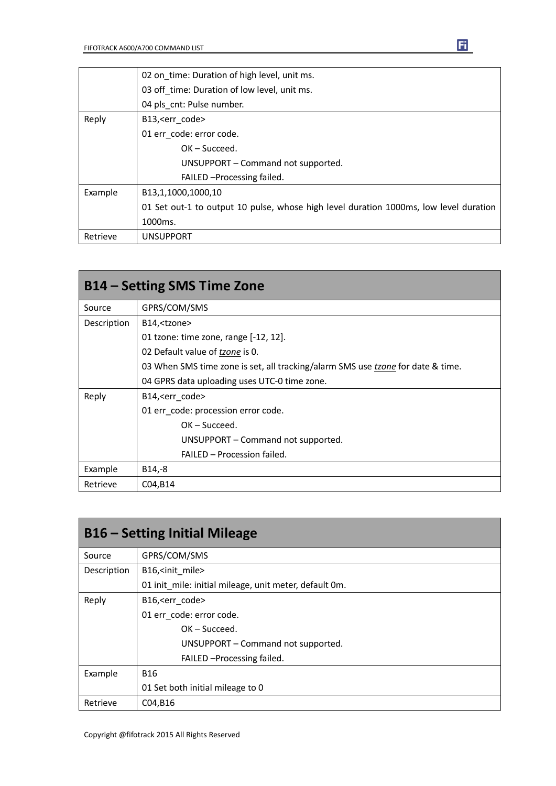|          | 02 on time: Duration of high level, unit ms.                                          |
|----------|---------------------------------------------------------------------------------------|
|          | 03 off time: Duration of low level, unit ms.                                          |
|          | 04 pls cnt: Pulse number.                                                             |
| Reply    | B13, <err code=""></err>                                                              |
|          | 01 err code: error code.                                                              |
|          | $OK - Succeed.$                                                                       |
|          | UNSUPPORT - Command not supported.                                                    |
|          | FAILED - Processing failed.                                                           |
| Example  | B <sub>13</sub> ,1,1000,1000,10                                                       |
|          | 01 Set out-1 to output 10 pulse, whose high level duration 1000ms, low level duration |
|          | 1000ms.                                                                               |
| Retrieve | <b>UNSUPPORT</b>                                                                      |

| B14 – Setting SMS Time Zone |                                                                                 |
|-----------------------------|---------------------------------------------------------------------------------|
| Source                      | GPRS/COM/SMS                                                                    |
| Description                 | B14, <tzone></tzone>                                                            |
|                             | 01 tzone: time zone, range [-12, 12].                                           |
|                             | 02 Default value of tzone is 0.                                                 |
|                             | 03 When SMS time zone is set, all tracking/alarm SMS use tzone for date & time. |
|                             | 04 GPRS data uploading uses UTC-0 time zone.                                    |
| Reply                       | B14, <err code=""></err>                                                        |
|                             | 01 err code: procession error code.                                             |
|                             | $OK - Succeed.$                                                                 |
|                             | UNSUPPORT - Command not supported.                                              |
|                             | FAILED - Procession failed.                                                     |
| Example                     | B14,-8                                                                          |
| Retrieve                    | C04, B14                                                                        |

| <b>B16 – Setting Initial Mileage</b> |                                                        |
|--------------------------------------|--------------------------------------------------------|
| Source                               | GPRS/COM/SMS                                           |
| Description                          | B16, <init mile=""></init>                             |
|                                      | 01 init mile: initial mileage, unit meter, default 0m. |
| Reply                                | B16, <err code=""></err>                               |
|                                      | 01 err code: error code.                               |
|                                      | $OK - Succeed.$                                        |
|                                      | UNSUPPORT - Command not supported.                     |
|                                      | FAILED - Processing failed.                            |
| Example                              | <b>B16</b>                                             |
|                                      | 01 Set both initial mileage to 0                       |
| Retrieve                             | C04, B16                                               |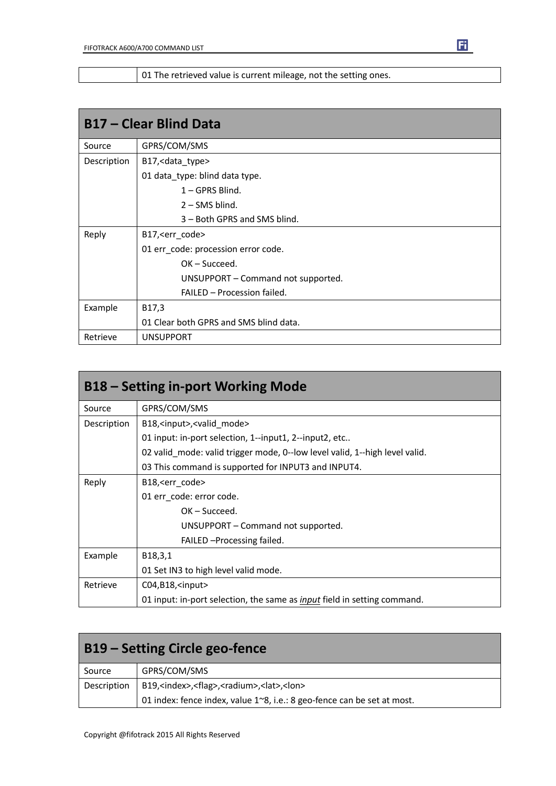01 The retrieved value is current mileage, not the setting ones.

| <b>B17 - Clear Blind Data</b> |                                        |
|-------------------------------|----------------------------------------|
| Source                        | GPRS/COM/SMS                           |
| Description                   | B17, < data_type>                      |
|                               | 01 data_type: blind data type.         |
|                               | $1 - GPRS$ Blind.                      |
|                               | $2 -$ SMS blind.                       |
|                               | 3 – Both GPRS and SMS blind.           |
| Reply                         | B17, < err_code>                       |
|                               | 01 err_code: procession error code.    |
|                               | $OK - Succeed.$                        |
|                               | UNSUPPORT - Command not supported.     |
|                               | FAILED - Procession failed.            |
| Example                       | B17,3                                  |
|                               | 01 Clear both GPRS and SMS blind data. |
| Retrieve                      | <b>UNSUPPORT</b>                       |

| <b>B18 – Setting in-port Working Mode</b> |                                                                                 |
|-------------------------------------------|---------------------------------------------------------------------------------|
| Source                                    | GPRS/COM/SMS                                                                    |
| Description                               | B18, <input/> , <valid mode=""></valid>                                         |
|                                           | 01 input: in-port selection, 1--input1, 2--input2, etc                          |
|                                           | 02 valid mode: valid trigger mode, 0--low level valid, 1--high level valid.     |
|                                           | 03 This command is supported for INPUT3 and INPUT4.                             |
| Reply                                     | B18, <err code=""></err>                                                        |
|                                           | 01 err code: error code.                                                        |
|                                           | $OK - Succeed.$                                                                 |
|                                           | UNSUPPORT – Command not supported.                                              |
|                                           | FAILED - Processing failed.                                                     |
| Example                                   | B18,3,1                                                                         |
|                                           | 01 Set IN3 to high level valid mode.                                            |
| Retrieve                                  | $CO4, B18,$ <input/>                                                            |
|                                           | 01 input: in-port selection, the same as <i>input</i> field in setting command. |

| <b>B19 – Setting Circle geo-fence</b> |                                                                              |
|---------------------------------------|------------------------------------------------------------------------------|
| Source                                | GPRS/COM/SMS                                                                 |
| Description                           | B19, <index>,<flag>,<radium>,<lat>,<lon></lon></lat></radium></flag></index> |
|                                       | 01 index: fence index, value 1~8, i.e.: 8 geo-fence can be set at most.      |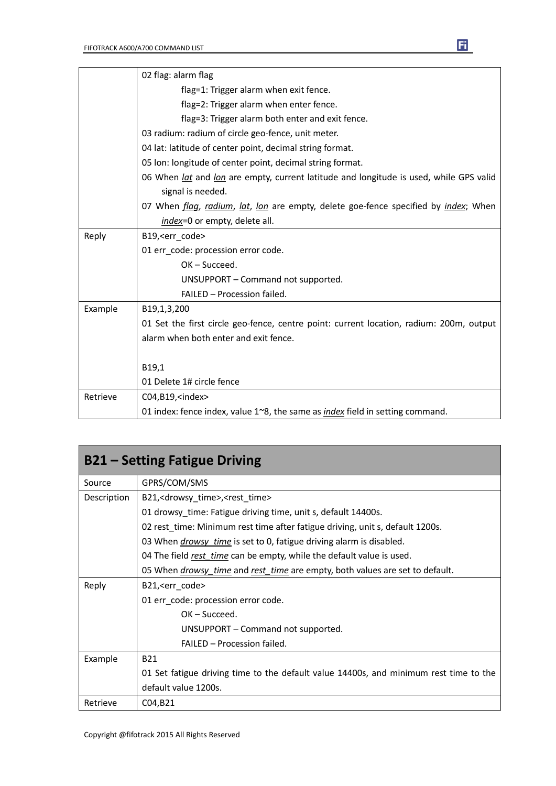|          | 02 flag: alarm flag                                                                                  |
|----------|------------------------------------------------------------------------------------------------------|
|          | flag=1: Trigger alarm when exit fence.                                                               |
|          | flag=2: Trigger alarm when enter fence.                                                              |
|          | flag=3: Trigger alarm both enter and exit fence.                                                     |
|          | 03 radium: radium of circle geo-fence, unit meter.                                                   |
|          | 04 lat: latitude of center point, decimal string format.                                             |
|          | 05 Ion: longitude of center point, decimal string format.                                            |
|          | 06 When <i>lat</i> and <i>lon</i> are empty, current latitude and longitude is used, while GPS valid |
|          | signal is needed.                                                                                    |
|          | 07 When <i>flag, radium, lat, lon</i> are empty, delete goe-fence specified by <i>index</i> ; When   |
|          | index=0 or empty, delete all.                                                                        |
| Reply    | B19, <err code=""></err>                                                                             |
|          | 01 err_code: procession error code.                                                                  |
|          | $OK - Succeed.$                                                                                      |
|          | UNSUPPORT - Command not supported.                                                                   |
|          | FAILED - Procession failed.                                                                          |
| Example  | B19,1,3,200                                                                                          |
|          | 01 Set the first circle geo-fence, centre point: current location, radium: 200m, output              |
|          | alarm when both enter and exit fence.                                                                |
|          |                                                                                                      |
|          | B19,1                                                                                                |
|          | 01 Delete 1# circle fence                                                                            |
| Retrieve | C04,B19, <index></index>                                                                             |
|          | 01 index: fence index, value $1^{\sim}8$ , the same as <i>index</i> field in setting command.        |

| <b>B21 – Setting Fatigue Driving</b> |                                                                                       |
|--------------------------------------|---------------------------------------------------------------------------------------|
| Source                               | GPRS/COM/SMS                                                                          |
| Description                          | B21, <drowsy_time>,<rest_time></rest_time></drowsy_time>                              |
|                                      | 01 drowsy_time: Fatigue driving time, unit s, default 14400s.                         |
|                                      | 02 rest_time: Minimum rest time after fatigue driving, unit s, default 1200s.         |
|                                      | 03 When <i>drowsy time</i> is set to 0, fatigue driving alarm is disabled.            |
|                                      | 04 The field rest_time can be empty, while the default value is used.                 |
|                                      | 05 When <i>drowsy time</i> and rest time are empty, both values are set to default.   |
| Reply                                | B21, <err code=""></err>                                                              |
|                                      | 01 err code: procession error code.                                                   |
|                                      | $OK - Succeed.$                                                                       |
|                                      | UNSUPPORT – Command not supported.                                                    |
|                                      | <b>FAILED - Procession failed.</b>                                                    |
| Example                              | <b>B21</b>                                                                            |
|                                      | 01 Set fatigue driving time to the default value 14400s, and minimum rest time to the |
|                                      | default value 1200s.                                                                  |
| Retrieve                             | C04, B21                                                                              |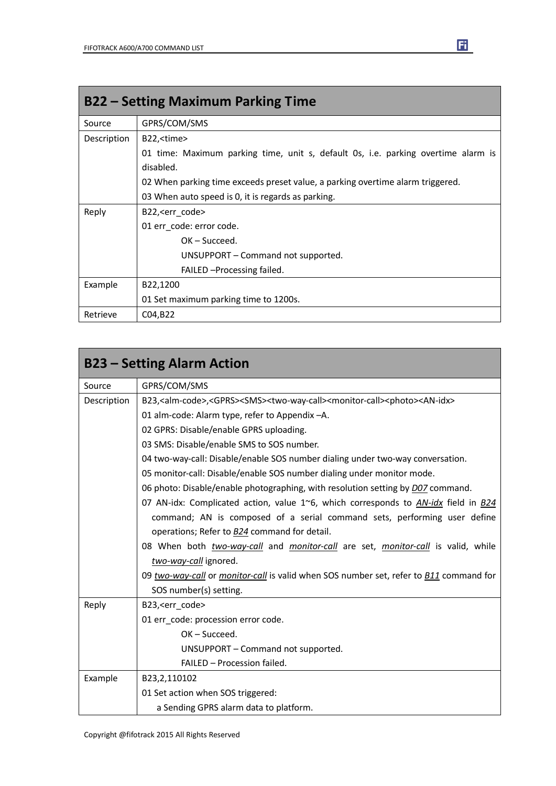| <b>B22 – Setting Maximum Parking Time</b> |                                                                                   |
|-------------------------------------------|-----------------------------------------------------------------------------------|
| Source                                    | GPRS/COM/SMS                                                                      |
| Description                               | B22, <time></time>                                                                |
|                                           | 01 time: Maximum parking time, unit s, default 0s, i.e. parking overtime alarm is |
|                                           | disabled.                                                                         |
|                                           | 02 When parking time exceeds preset value, a parking overtime alarm triggered.    |
|                                           | 03 When auto speed is 0, it is regards as parking.                                |
| Reply                                     | B22, <err code=""></err>                                                          |
|                                           | 01 err code: error code.                                                          |
|                                           | $OK - Succeed.$                                                                   |
|                                           | UNSUPPORT – Command not supported.                                                |
|                                           | FAILED - Processing failed.                                                       |
| Example                                   | B22,1200                                                                          |
|                                           | 01 Set maximum parking time to 1200s.                                             |
| Retrieve                                  | C04, B22                                                                          |

|             | <b>B23 – Setting Alarm Action</b>                                                                                                             |
|-------------|-----------------------------------------------------------------------------------------------------------------------------------------------|
| Source      | GPRS/COM/SMS                                                                                                                                  |
| Description | B23, <alm-code>,<gprs><sms><two-way-call><monitor-call><photo><an-idx></an-idx></photo></monitor-call></two-way-call></sms></gprs></alm-code> |
|             | 01 alm-code: Alarm type, refer to Appendix -A.                                                                                                |
|             | 02 GPRS: Disable/enable GPRS uploading.                                                                                                       |
|             | 03 SMS: Disable/enable SMS to SOS number.                                                                                                     |
|             | 04 two-way-call: Disable/enable SOS number dialing under two-way conversation.                                                                |
|             | 05 monitor-call: Disable/enable SOS number dialing under monitor mode.                                                                        |
|             | 06 photo: Disable/enable photographing, with resolution setting by <i>D07</i> command.                                                        |
|             | 07 AN-idx: Complicated action, value 1~6, which corresponds to AN-idx field in B24                                                            |
|             | command; AN is composed of a serial command sets, performing user define                                                                      |
|             | operations; Refer to <b>B24</b> command for detail.                                                                                           |
|             | 08 When both <i>two-way-call</i> and <i>monitor-call</i> are set, <i>monitor-call</i> is valid, while                                         |
|             | two-way-call ignored.                                                                                                                         |
|             | 09 two-way-call or monitor-call is valid when SOS number set, refer to <b>B11</b> command for                                                 |
|             | SOS number(s) setting.                                                                                                                        |
| Reply       | B23, <err_code></err_code>                                                                                                                    |
|             | 01 err code: procession error code.                                                                                                           |
|             | $OK - Succeed.$                                                                                                                               |
|             | UNSUPPORT - Command not supported.                                                                                                            |
|             | FAILED - Procession failed.                                                                                                                   |
| Example     | B23,2,110102                                                                                                                                  |
|             | 01 Set action when SOS triggered:                                                                                                             |
|             | a Sending GPRS alarm data to platform.                                                                                                        |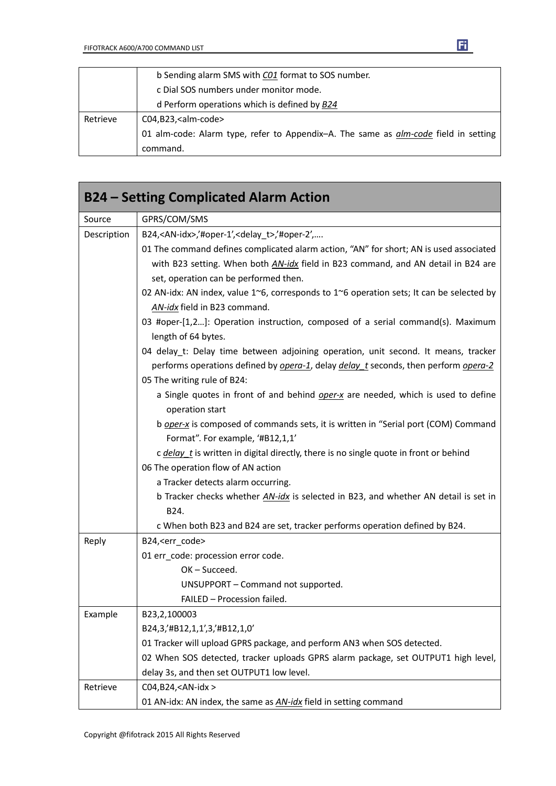|          | b Sending alarm SMS with CO1 format to SOS number.                                  |
|----------|-------------------------------------------------------------------------------------|
|          | c Dial SOS numbers under monitor mode.                                              |
|          | d Perform operations which is defined by B24                                        |
| Retrieve | C04,B23, <alm-code></alm-code>                                                      |
|          | 01 alm-code: Alarm type, refer to Appendix-A. The same as alm-code field in setting |
|          | command.                                                                            |

| <b>B24 – Setting Complicated Alarm Action</b> |                                                                                                                            |
|-----------------------------------------------|----------------------------------------------------------------------------------------------------------------------------|
| Source                                        | GPRS/COM/SMS                                                                                                               |
| Description                                   | B24, <an-idx>,'#oper-1',<delay_t>,'#oper-2',</delay_t></an-idx>                                                            |
|                                               | 01 The command defines complicated alarm action, "AN" for short; AN is used associated                                     |
|                                               | with B23 setting. When both AN-idx field in B23 command, and AN detail in B24 are<br>set, operation can be performed then. |
|                                               | 02 AN-idx: AN index, value 1~6, corresponds to 1~6 operation sets; It can be selected by                                   |
|                                               | AN-idx field in B23 command.                                                                                               |
|                                               | 03 #oper-[1,2]: Operation instruction, composed of a serial command(s). Maximum                                            |
|                                               | length of 64 bytes.                                                                                                        |
|                                               | 04 delay_t: Delay time between adjoining operation, unit second. It means, tracker                                         |
|                                               | performs operations defined by <i>opera-1</i> , delay <i>delay</i> t seconds, then perform <i>opera-2</i>                  |
|                                               | 05 The writing rule of B24:                                                                                                |
|                                               | a Single quotes in front of and behind oper-x are needed, which is used to define<br>operation start                       |
|                                               | b oper-x is composed of commands sets, it is written in "Serial port (COM) Command                                         |
|                                               | Format". For example, '#B12,1,1'                                                                                           |
|                                               | c delay_t is written in digital directly, there is no single quote in front or behind                                      |
|                                               | 06 The operation flow of AN action                                                                                         |
|                                               | a Tracker detects alarm occurring.                                                                                         |
|                                               | b Tracker checks whether AN-idx is selected in B23, and whether AN detail is set in                                        |
|                                               | B24.                                                                                                                       |
|                                               | c When both B23 and B24 are set, tracker performs operation defined by B24.                                                |
| Reply                                         | B24, <err_code></err_code>                                                                                                 |
|                                               | 01 err_code: procession error code.                                                                                        |
|                                               | OK-Succeed.                                                                                                                |
|                                               | UNSUPPORT - Command not supported.                                                                                         |
|                                               | FAILED - Procession failed.                                                                                                |
| Example                                       | B23,2,100003                                                                                                               |
|                                               | B24,3,'#B12,1,1',3,'#B12,1,0'                                                                                              |
|                                               | 01 Tracker will upload GPRS package, and perform AN3 when SOS detected.                                                    |
|                                               | 02 When SOS detected, tracker uploads GPRS alarm package, set OUTPUT1 high level,                                          |
|                                               | delay 3s, and then set OUTPUT1 low level.                                                                                  |
| Retrieve                                      | C04, B24, <an-idx></an-idx>                                                                                                |
|                                               | 01 AN-idx: AN index, the same as <b>AN-idx</b> field in setting command                                                    |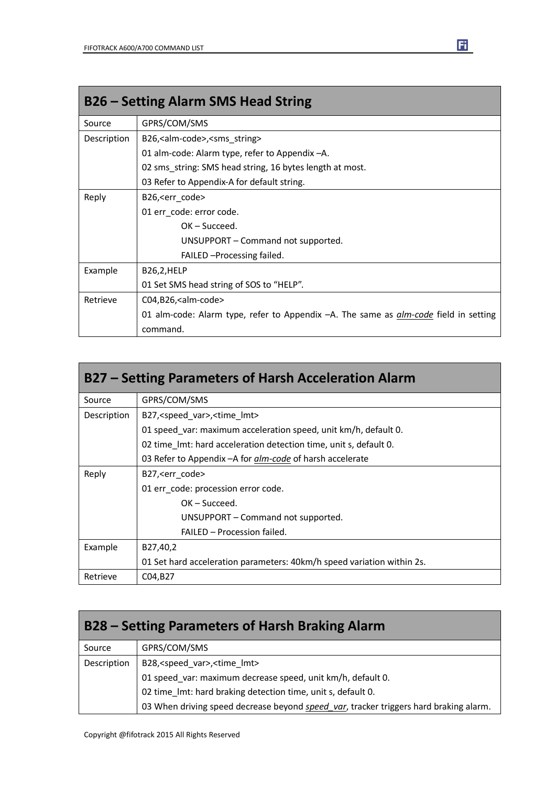| <b>B26 – Setting Alarm SMS Head String</b> |                                                                                                |
|--------------------------------------------|------------------------------------------------------------------------------------------------|
| Source                                     | GPRS/COM/SMS                                                                                   |
| Description                                | B26, <alm-code>,<sms_string></sms_string></alm-code>                                           |
|                                            | 01 alm-code: Alarm type, refer to Appendix -A.                                                 |
|                                            | 02 sms string: SMS head string, 16 bytes length at most.                                       |
|                                            | 03 Refer to Appendix-A for default string.                                                     |
| Reply                                      | B26, < err code >                                                                              |
|                                            | 01 err code: error code.                                                                       |
|                                            | $OK - Succed.$                                                                                 |
|                                            | UNSUPPORT – Command not supported.                                                             |
|                                            | FAILED - Processing failed.                                                                    |
| Example                                    | B26,2,HELP                                                                                     |
|                                            | 01 Set SMS head string of SOS to "HELP".                                                       |
| Retrieve                                   | C04,B26, <alm-code></alm-code>                                                                 |
|                                            | 01 alm-code: Alarm type, refer to Appendix $-A$ . The same as <i>alm-code</i> field in setting |
|                                            | command.                                                                                       |

| B27 – Setting Parameters of Harsh Acceleration Alarm |                                                                        |
|------------------------------------------------------|------------------------------------------------------------------------|
| Source                                               | GPRS/COM/SMS                                                           |
| Description                                          | B27, <speed var="">, <time lmt=""></time></speed>                      |
|                                                      | 01 speed var: maximum acceleration speed, unit km/h, default 0.        |
|                                                      | 02 time Imt: hard acceleration detection time, unit s, default 0.      |
|                                                      | 03 Refer to Appendix - A for <i>alm-code</i> of harsh accelerate       |
| Reply                                                | B27, <err_code></err_code>                                             |
|                                                      | 01 err code: procession error code.                                    |
|                                                      | $OK - Succeed.$                                                        |
|                                                      | UNSUPPORT – Command not supported.                                     |
|                                                      | FAILED - Procession failed.                                            |
| Example                                              | B27,40,2                                                               |
|                                                      | 01 Set hard acceleration parameters: 40km/h speed variation within 2s. |
| Retrieve                                             | C04, B27                                                               |

| B28 – Setting Parameters of Harsh Braking Alarm |                                                                                       |
|-------------------------------------------------|---------------------------------------------------------------------------------------|
| Source                                          | GPRS/COM/SMS                                                                          |
| Description                                     | B28, <speed_var>,<time_lmt></time_lmt></speed_var>                                    |
|                                                 | 01 speed_var: maximum decrease speed, unit km/h, default 0.                           |
|                                                 | 02 time_lmt: hard braking detection time, unit s, default 0.                          |
|                                                 | 03 When driving speed decrease beyond speed_var, tracker triggers hard braking alarm. |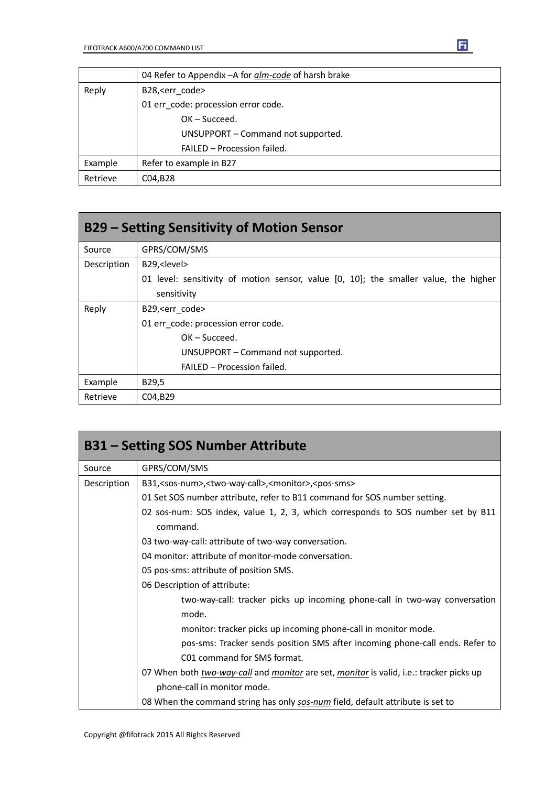|          | 04 Refer to Appendix - A for alm-code of harsh brake |
|----------|------------------------------------------------------|
| Reply    | B28, <err code=""></err>                             |
|          | 01 err code: procession error code.                  |
|          | $OK - Succeed.$                                      |
|          | UNSUPPORT - Command not supported.                   |
|          | FAILED - Procession failed.                          |
| Example  | Refer to example in B27                              |
| Retrieve | C04, B28                                             |

| B29 – Setting Sensitivity of Motion Sensor |                                                                                      |
|--------------------------------------------|--------------------------------------------------------------------------------------|
| Source                                     | GPRS/COM/SMS                                                                         |
| Description                                | B29, <level></level>                                                                 |
|                                            | 01 level: sensitivity of motion sensor, value [0, 10]; the smaller value, the higher |
|                                            | sensitivity                                                                          |
| Reply                                      | B29, <err code=""></err>                                                             |
|                                            | 01 err code: procession error code.                                                  |
|                                            | $OK - Succeed.$                                                                      |
|                                            | UNSUPPORT – Command not supported.                                                   |
|                                            | FAILED - Procession failed.                                                          |
| Example                                    | B29,5                                                                                |
| Retrieve                                   | C04,B29                                                                              |

| <b>B31 - Setting SOS Number Attribute</b> |                                                                                                |
|-------------------------------------------|------------------------------------------------------------------------------------------------|
| Source                                    | GPRS/COM/SMS                                                                                   |
| Description                               | B31, <sos-num>,<two-way-call>,<monitor>,<pos-sms></pos-sms></monitor></two-way-call></sos-num> |
|                                           | 01 Set SOS number attribute, refer to B11 command for SOS number setting.                      |
|                                           | 02 sos-num: SOS index, value 1, 2, 3, which corresponds to SOS number set by B11<br>command.   |
|                                           | 03 two-way-call: attribute of two-way conversation.                                            |
|                                           | 04 monitor: attribute of monitor-mode conversation.                                            |
|                                           | 05 pos-sms: attribute of position SMS.                                                         |
|                                           | 06 Description of attribute:                                                                   |
|                                           | two-way-call: tracker picks up incoming phone-call in two-way conversation                     |
|                                           | mode.                                                                                          |
|                                           | monitor: tracker picks up incoming phone-call in monitor mode.                                 |
|                                           | pos-sms: Tracker sends position SMS after incoming phone-call ends. Refer to                   |
|                                           | C01 command for SMS format.                                                                    |
|                                           | 07 When both two-way-call and monitor are set, monitor is valid, i.e.: tracker picks up        |
|                                           | phone-call in monitor mode.                                                                    |
|                                           | 08 When the command string has only sos-num field, default attribute is set to                 |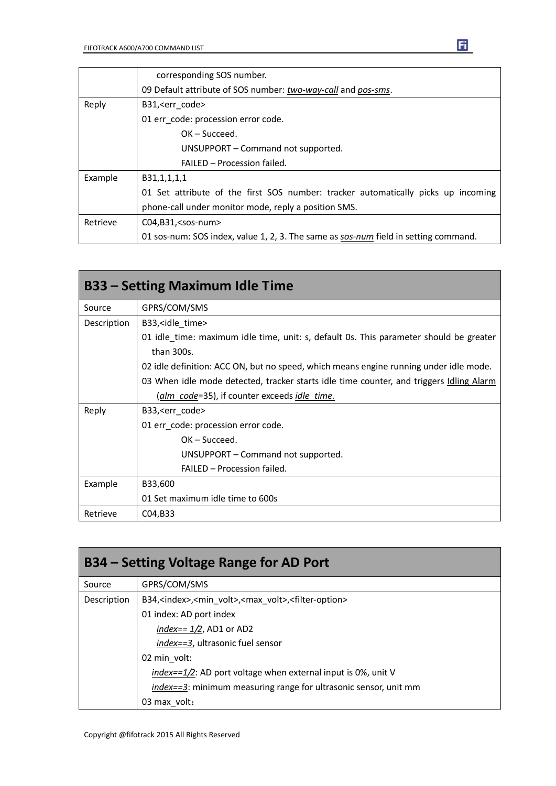|          | corresponding SOS number.                                                           |  |  |
|----------|-------------------------------------------------------------------------------------|--|--|
|          | 09 Default attribute of SOS number: two-way-call and pos-sms.                       |  |  |
| Reply    | B31, <err code=""></err>                                                            |  |  |
|          | 01 err code: procession error code.                                                 |  |  |
|          | $OK - Succeed.$                                                                     |  |  |
|          | UNSUPPORT – Command not supported.                                                  |  |  |
|          | FAILED - Procession failed.                                                         |  |  |
| Example  | B31,1,1,1,1                                                                         |  |  |
|          | 01 Set attribute of the first SOS number: tracker automatically picks up incoming   |  |  |
|          | phone-call under monitor mode, reply a position SMS.                                |  |  |
| Retrieve | C04,B31, <sos-num></sos-num>                                                        |  |  |
|          | 01 sos-num: SOS index, value 1, 2, 3. The same as sos-num field in setting command. |  |  |

|             | <b>B33 – Setting Maximum Idle Time</b>                                                         |
|-------------|------------------------------------------------------------------------------------------------|
| Source      | GPRS/COM/SMS                                                                                   |
| Description | B33, sidle time                                                                                |
|             | 01 idle time: maximum idle time, unit: s, default 0s. This parameter should be greater         |
|             | than 300s.                                                                                     |
|             | 02 idle definition: ACC ON, but no speed, which means engine running under idle mode.          |
|             | 03 When idle mode detected, tracker starts idle time counter, and triggers <i>Idling Alarm</i> |
|             | (alm code=35), if counter exceeds idle time.                                                   |
| Reply       | B33, <err code=""></err>                                                                       |
|             | 01 err code: procession error code.                                                            |
|             | $OK - Succeed.$                                                                                |
|             | UNSUPPORT – Command not supported.                                                             |
|             | FAILED - Procession failed.                                                                    |
| Example     | B33,600                                                                                        |
|             | 01 Set maximum idle time to 600s                                                               |
| Retrieve    | C04,B33                                                                                        |

| B34 – Setting Voltage Range for AD Port |                                                                                                  |  |  |
|-----------------------------------------|--------------------------------------------------------------------------------------------------|--|--|
| Source                                  | GPRS/COM/SMS                                                                                     |  |  |
| Description                             | B34, <index>,<min_volt>,<max_volt>,<filter-option></filter-option></max_volt></min_volt></index> |  |  |
|                                         | 01 index: AD port index                                                                          |  |  |
|                                         | index== $1/2$ , AD1 or AD2                                                                       |  |  |
|                                         | <i>index==3</i> , ultrasonic fuel sensor                                                         |  |  |
|                                         | 02 min volt:                                                                                     |  |  |
|                                         | $index = 1/2$ : AD port voltage when external input is 0%, unit V                                |  |  |
|                                         | index==3: minimum measuring range for ultrasonic sensor, unit mm                                 |  |  |
|                                         | 03 max volt:                                                                                     |  |  |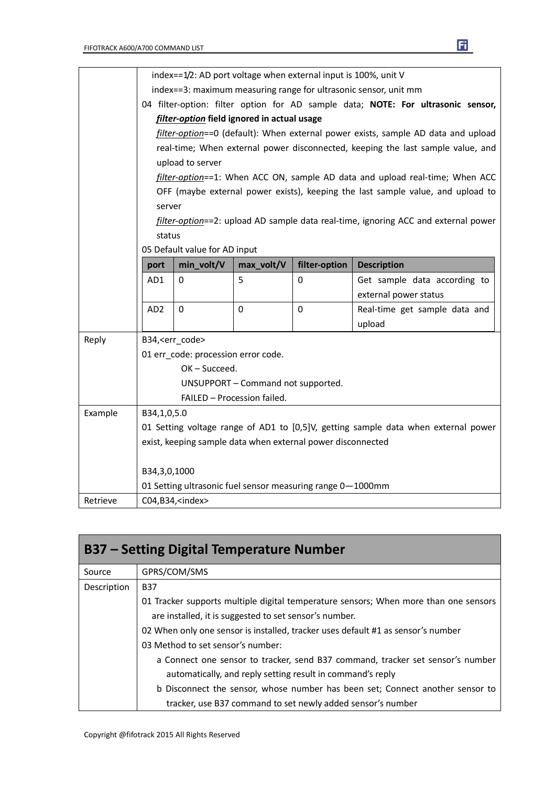|          |                          | index==1/2: AD port voltage when external input is 100%, unit V                    |                                                                  |               |                    |                                                                                    |  |
|----------|--------------------------|------------------------------------------------------------------------------------|------------------------------------------------------------------|---------------|--------------------|------------------------------------------------------------------------------------|--|
|          |                          |                                                                                    | index==3: maximum measuring range for ultrasonic sensor, unit mm |               |                    |                                                                                    |  |
|          |                          |                                                                                    |                                                                  |               |                    | 04 filter-option: filter option for AD sample data; NOTE: For ultrasonic sensor,   |  |
|          |                          |                                                                                    | filter-option field ignored in actual usage                      |               |                    |                                                                                    |  |
|          |                          |                                                                                    |                                                                  |               |                    | filter-option==0 (default): When external power exists, sample AD data and upload  |  |
|          |                          |                                                                                    |                                                                  |               |                    | real-time; When external power disconnected, keeping the last sample value, and    |  |
|          |                          | upload to server                                                                   |                                                                  |               |                    |                                                                                    |  |
|          |                          |                                                                                    |                                                                  |               |                    | filter-option==1: When ACC ON, sample AD data and upload real-time; When ACC       |  |
|          |                          |                                                                                    |                                                                  |               |                    | OFF (maybe external power exists), keeping the last sample value, and upload to    |  |
|          | server                   |                                                                                    |                                                                  |               |                    |                                                                                    |  |
|          |                          | filter-option==2: upload AD sample data real-time, ignoring ACC and external power |                                                                  |               |                    |                                                                                    |  |
|          | status                   |                                                                                    |                                                                  |               |                    |                                                                                    |  |
|          |                          | 05 Default value for AD input                                                      |                                                                  |               |                    |                                                                                    |  |
|          | port                     | min_volt/V                                                                         | max_volt/V                                                       | filter-option | <b>Description</b> |                                                                                    |  |
|          | AD1                      | 0                                                                                  | 5                                                                | 0             |                    | Get sample data according to                                                       |  |
|          |                          |                                                                                    |                                                                  |               |                    | external power status                                                              |  |
|          | AD <sub>2</sub>          | $\mathbf 0$                                                                        | $\mathbf 0$                                                      | $\mathbf 0$   |                    | Real-time get sample data and                                                      |  |
|          |                          |                                                                                    |                                                                  |               | upload             |                                                                                    |  |
| Reply    |                          | B34, <err code=""></err>                                                           |                                                                  |               |                    |                                                                                    |  |
|          |                          | 01 err_code: procession error code.                                                |                                                                  |               |                    |                                                                                    |  |
|          |                          | $OK - Succeed.$                                                                    |                                                                  |               |                    |                                                                                    |  |
|          |                          |                                                                                    | UNSUPPORT - Command not supported.                               |               |                    |                                                                                    |  |
|          |                          |                                                                                    | FAILED - Procession failed.                                      |               |                    |                                                                                    |  |
| Example  | B34,1,0,5.0              |                                                                                    |                                                                  |               |                    |                                                                                    |  |
|          |                          |                                                                                    |                                                                  |               |                    | 01 Setting voltage range of AD1 to [0,5]V, getting sample data when external power |  |
|          |                          |                                                                                    | exist, keeping sample data when external power disconnected      |               |                    |                                                                                    |  |
|          |                          |                                                                                    |                                                                  |               |                    |                                                                                    |  |
|          | B34,3,0,1000             |                                                                                    |                                                                  |               |                    |                                                                                    |  |
|          |                          |                                                                                    | 01 Setting ultrasonic fuel sensor measuring range 0-1000mm       |               |                    |                                                                                    |  |
| Retrieve | C04,B34, <index></index> |                                                                                    |                                                                  |               |                    |                                                                                    |  |

| B37 – Setting Digital Temperature Number |                                                                                                                                                                                                                                                                                              |  |  |
|------------------------------------------|----------------------------------------------------------------------------------------------------------------------------------------------------------------------------------------------------------------------------------------------------------------------------------------------|--|--|
| Source                                   | GPRS/COM/SMS                                                                                                                                                                                                                                                                                 |  |  |
| Description                              | <b>B37</b>                                                                                                                                                                                                                                                                                   |  |  |
|                                          | 01 Tracker supports multiple digital temperature sensors; When more than one sensors<br>are installed, it is suggested to set sensor's number.                                                                                                                                               |  |  |
|                                          | 02 When only one sensor is installed, tracker uses default #1 as sensor's number<br>03 Method to set sensor's number:                                                                                                                                                                        |  |  |
|                                          | a Connect one sensor to tracker, send B37 command, tracker set sensor's number<br>automatically, and reply setting result in command's reply<br>b Disconnect the sensor, whose number has been set; Connect another sensor to<br>tracker, use B37 command to set newly added sensor's number |  |  |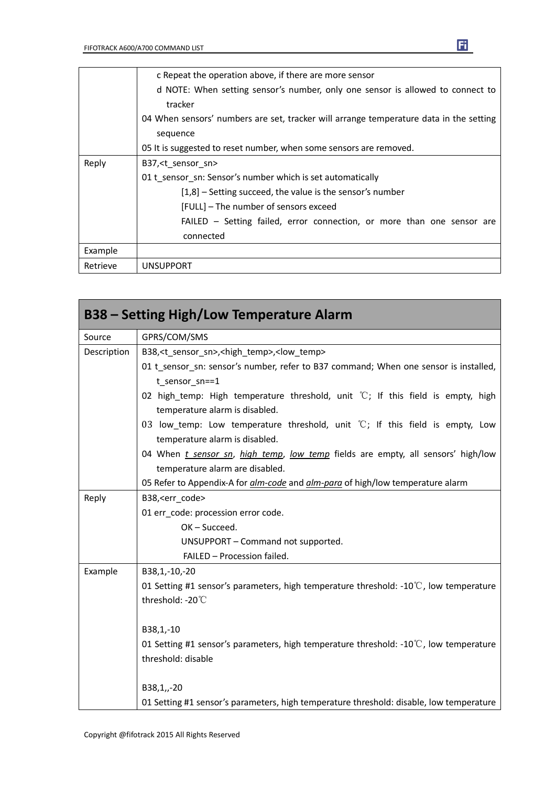|                                                                                        | c Repeat the operation above, if there are more sensor                         |  |  |
|----------------------------------------------------------------------------------------|--------------------------------------------------------------------------------|--|--|
|                                                                                        | d NOTE: When setting sensor's number, only one sensor is allowed to connect to |  |  |
|                                                                                        | tracker                                                                        |  |  |
| 04 When sensors' numbers are set, tracker will arrange temperature data in the setting |                                                                                |  |  |
|                                                                                        | sequence                                                                       |  |  |
|                                                                                        | 05 It is suggested to reset number, when some sensors are removed.             |  |  |
| Reply                                                                                  | B37, <t sensor="" sn=""></t>                                                   |  |  |
|                                                                                        | 01 t sensor sn: Sensor's number which is set automatically                     |  |  |
|                                                                                        | $[1,8]$ – Setting succeed, the value is the sensor's number                    |  |  |
|                                                                                        | [FULL] – The number of sensors exceed                                          |  |  |
|                                                                                        | FAILED – Setting failed, error connection, or more than one sensor are         |  |  |
|                                                                                        | connected                                                                      |  |  |
| Example                                                                                |                                                                                |  |  |
| Retrieve                                                                               | <b>UNSUPPORT</b>                                                               |  |  |

|             | <b>B38 - Setting High/Low Temperature Alarm</b>                                                                            |
|-------------|----------------------------------------------------------------------------------------------------------------------------|
| Source      | GPRS/COM/SMS                                                                                                               |
| Description | B38, <t sensor="" sn="">,<high temp="">,<low temp=""></low></high></t>                                                     |
|             | 01 t_sensor_sn: sensor's number, refer to B37 command; When one sensor is installed,<br>t_sensor_sn==1                     |
|             | 02 high_temp: High temperature threshold, unit $\degree$ C; If this field is empty, high<br>temperature alarm is disabled. |
|             | 03 low_temp: Low temperature threshold, unit $\degree$ C; If this field is empty, Low<br>temperature alarm is disabled.    |
|             | 04 When <i>t sensor sn, high temp, low temp</i> fields are empty, all sensors' high/low<br>temperature alarm are disabled. |
|             | 05 Refer to Appendix-A for <i>alm-code</i> and <i>alm-para</i> of high/low temperature alarm                               |
| Reply       | B38, <err_code></err_code>                                                                                                 |
|             | 01 err code: procession error code.                                                                                        |
|             | OK-Succeed.                                                                                                                |
|             | UNSUPPORT - Command not supported.                                                                                         |
|             | FAILED - Procession failed.                                                                                                |
| Example     | B38,1,-10,-20                                                                                                              |
|             | 01 Setting #1 sensor's parameters, high temperature threshold: -10 $\degree$ C, low temperature                            |
|             | threshold: -20°C                                                                                                           |
|             | B38,1,-10                                                                                                                  |
|             | 01 Setting #1 sensor's parameters, high temperature threshold: -10 $\degree$ C, low temperature                            |
|             | threshold: disable                                                                                                         |
|             | B38,1,,-20                                                                                                                 |
|             | 01 Setting #1 sensor's parameters, high temperature threshold: disable, low temperature                                    |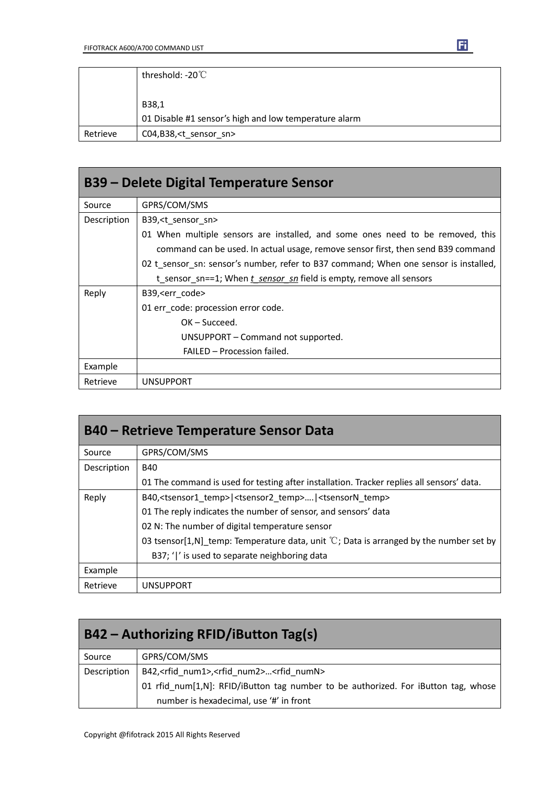|          | threshold: -20°C                                      |
|----------|-------------------------------------------------------|
|          |                                                       |
|          | B38,1                                                 |
|          | 01 Disable #1 sensor's high and low temperature alarm |
| Retrieve | C04,B38, <t_sensor_sn></t_sensor_sn>                  |

| B39 – Delete Digital Temperature Sensor |                                                                                      |  |  |
|-----------------------------------------|--------------------------------------------------------------------------------------|--|--|
| Source                                  | GPRS/COM/SMS                                                                         |  |  |
| Description                             | B39, <t sensor="" sn=""></t>                                                         |  |  |
|                                         | 01 When multiple sensors are installed, and some ones need to be removed, this       |  |  |
|                                         | command can be used. In actual usage, remove sensor first, then send B39 command     |  |  |
|                                         | 02 t_sensor_sn: sensor's number, refer to B37 command; When one sensor is installed, |  |  |
|                                         | t_sensor_sn==1; When t_sensor_sn field is empty, remove all sensors                  |  |  |
| Reply                                   | B39, <err code=""></err>                                                             |  |  |
|                                         | 01 err code: procession error code.                                                  |  |  |
|                                         | $OK - Succeed.$                                                                      |  |  |
|                                         | UNSUPPORT – Command not supported.                                                   |  |  |
|                                         | FAILED - Procession failed.                                                          |  |  |
| Example                                 |                                                                                      |  |  |
| Retrieve                                | <b>UNSUPPORT</b>                                                                     |  |  |

|             | <b>B40 – Retrieve Temperature Sensor Data</b>                                                     |  |  |  |
|-------------|---------------------------------------------------------------------------------------------------|--|--|--|
| Source      | GPRS/COM/SMS                                                                                      |  |  |  |
| Description | <b>B40</b>                                                                                        |  |  |  |
|             | 01 The command is used for testing after installation. Tracker replies all sensors' data.         |  |  |  |
| Reply       | B40, <tsensor1 temp=""> <tsensor2 temp=""> <tsensorn temp=""></tsensorn></tsensor2></tsensor1>    |  |  |  |
|             | 01 The reply indicates the number of sensor, and sensors' data                                    |  |  |  |
|             | 02 N: The number of digital temperature sensor                                                    |  |  |  |
|             | 03 tsensor[1,N] temp: Temperature data, unit $\mathbb{C}$ ; Data is arranged by the number set by |  |  |  |
|             | B37; ' ' is used to separate neighboring data                                                     |  |  |  |
| Example     |                                                                                                   |  |  |  |
| Retrieve    | <b>UNSUPPORT</b>                                                                                  |  |  |  |

| B42 – Authorizing RFID/iButton Tag(s) |                                                                                    |  |  |
|---------------------------------------|------------------------------------------------------------------------------------|--|--|
| Source                                | GPRS/COM/SMS                                                                       |  |  |
| Description                           | B42, <rfid_num1>,<rfid_num2><rfid_numn></rfid_numn></rfid_num2></rfid_num1>        |  |  |
|                                       | 01 rfid_num[1,N]: RFID/iButton tag number to be authorized. For iButton tag, whose |  |  |
|                                       | number is hexadecimal, use '#' in front                                            |  |  |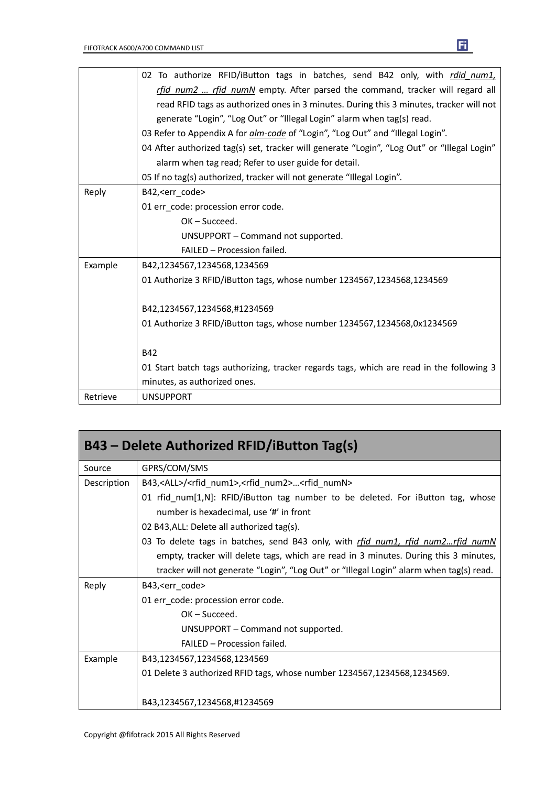|          | 02 To authorize RFID/iButton tags in batches, send B42 only, with rdid num1,                |  |  |  |  |
|----------|---------------------------------------------------------------------------------------------|--|--|--|--|
|          | rfid_num2  rfid_numN empty. After parsed the command, tracker will regard all               |  |  |  |  |
|          | read RFID tags as authorized ones in 3 minutes. During this 3 minutes, tracker will not     |  |  |  |  |
|          | generate "Login", "Log Out" or "Illegal Login" alarm when tag(s) read.                      |  |  |  |  |
|          | 03 Refer to Appendix A for alm-code of "Login", "Log Out" and "Illegal Login".              |  |  |  |  |
|          | 04 After authorized tag(s) set, tracker will generate "Login", "Log Out" or "Illegal Login" |  |  |  |  |
|          | alarm when tag read; Refer to user guide for detail.                                        |  |  |  |  |
|          | 05 If no tag(s) authorized, tracker will not generate "Illegal Login".                      |  |  |  |  |
| Reply    | B42, <err_code></err_code>                                                                  |  |  |  |  |
|          | 01 err code: procession error code.                                                         |  |  |  |  |
|          | OK-Succeed.                                                                                 |  |  |  |  |
|          | UNSUPPORT - Command not supported.                                                          |  |  |  |  |
|          | FAILED - Procession failed.                                                                 |  |  |  |  |
| Example  | B42,1234567,1234568,1234569                                                                 |  |  |  |  |
|          | 01 Authorize 3 RFID/iButton tags, whose number 1234567,1234568,1234569                      |  |  |  |  |
|          | B42,1234567,1234568,#1234569                                                                |  |  |  |  |
|          | 01 Authorize 3 RFID/iButton tags, whose number 1234567,1234568,0x1234569                    |  |  |  |  |
|          | <b>B42</b>                                                                                  |  |  |  |  |
|          | 01 Start batch tags authorizing, tracker regards tags, which are read in the following 3    |  |  |  |  |
|          | minutes, as authorized ones.                                                                |  |  |  |  |
|          |                                                                                             |  |  |  |  |
| Retrieve | <b>UNSUPPORT</b>                                                                            |  |  |  |  |

| B43 - Delete Authorized RFID/iButton Tag(s) |                                                                                                                            |
|---------------------------------------------|----------------------------------------------------------------------------------------------------------------------------|
| Source                                      | GPRS/COM/SMS                                                                                                               |
| Description                                 | B43, <all>/<rfid num1="">,<rfid num2=""><rfid numn=""></rfid></rfid></rfid></all>                                          |
|                                             | 01 rfid_num[1,N]: RFID/iButton tag number to be deleted. For iButton tag, whose<br>number is hexadecimal, use '#' in front |
|                                             | 02 B43, ALL: Delete all authorized tag(s).                                                                                 |
|                                             | 03 To delete tags in batches, send B43 only, with rfid num1, rfid num2rfid numN                                            |
|                                             | empty, tracker will delete tags, which are read in 3 minutes. During this 3 minutes,                                       |
|                                             | tracker will not generate "Login", "Log Out" or "Illegal Login" alarm when tag(s) read.                                    |
| Reply                                       | B43, <err code=""></err>                                                                                                   |
|                                             | 01 err code: procession error code.                                                                                        |
|                                             | $OK - Succeed.$                                                                                                            |
|                                             | UNSUPPORT – Command not supported.                                                                                         |
|                                             | FAILED - Procession failed.                                                                                                |
| Example                                     | B43,1234567,1234568,1234569                                                                                                |
|                                             | 01 Delete 3 authorized RFID tags, whose number 1234567,1234568,1234569.                                                    |
|                                             | B43,1234567,1234568,#1234569                                                                                               |

Copyright @fifotrack 2015 All Rights Reserved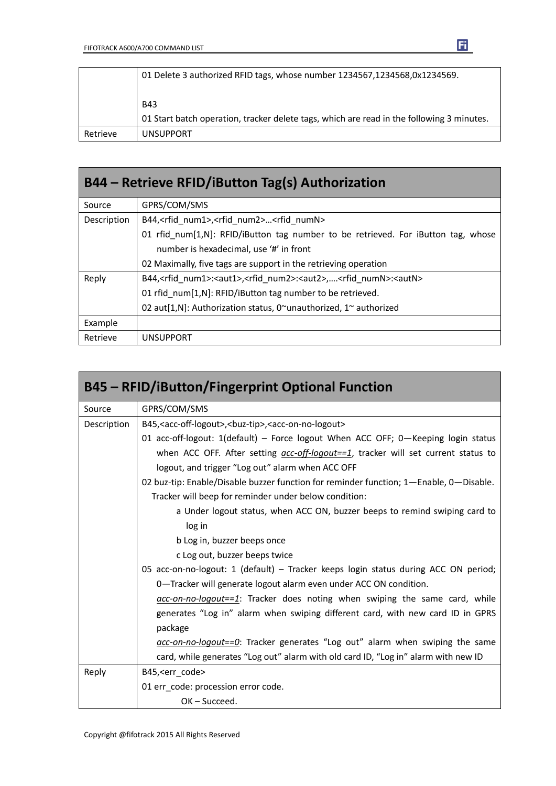|          | 01 Delete 3 authorized RFID tags, whose number 1234567,1234568,0x1234569.                 |
|----------|-------------------------------------------------------------------------------------------|
|          | <b>B43</b>                                                                                |
|          | 01 Start batch operation, tracker delete tags, which are read in the following 3 minutes. |
| Retrieve | <b>UNSUPPORT</b>                                                                          |

| B44 - Retrieve RFID/iButton Tag(s) Authorization |                                                                                                                  |
|--------------------------------------------------|------------------------------------------------------------------------------------------------------------------|
| Source                                           | GPRS/COM/SMS                                                                                                     |
| Description                                      | B44, <rfid_num1>,<rfid_num2><rfid_numn></rfid_numn></rfid_num2></rfid_num1>                                      |
|                                                  | 01 rfid num[1,N]: RFID/iButton tag number to be retrieved. For iButton tag, whose                                |
|                                                  | number is hexadecimal, use '#' in front                                                                          |
|                                                  | 02 Maximally, five tags are support in the retrieving operation                                                  |
| Reply                                            | B44, <rfid num1="">:<aut1>,<rfid num2="">:<aut2>,<rfid numn="">:<autn></autn></rfid></aut2></rfid></aut1></rfid> |
|                                                  | 01 rfid num[1,N]: RFID/iButton tag number to be retrieved.                                                       |
|                                                  | 02 aut[1,N]: Authorization status, 0~unauthorized, 1~ authorized                                                 |
| Example                                          |                                                                                                                  |
| Retrieve                                         | UNSUPPORT                                                                                                        |

|             | <b>B45 - RFID/iButton/Fingerprint Optional Function</b>                                              |
|-------------|------------------------------------------------------------------------------------------------------|
| Source      | GPRS/COM/SMS                                                                                         |
| Description | B45, <acc-off-logout>, <br/>&gt;buz-tip&gt;, <acc-on-no-logout></acc-on-no-logout></acc-off-logout>  |
|             | 01 acc-off-logout: 1(default) - Force logout When ACC OFF; 0-Keeping login status                    |
|             | when ACC OFF. After setting $\frac{acc-off\text{-}logout==1}{}$ , tracker will set current status to |
|             | logout, and trigger "Log out" alarm when ACC OFF                                                     |
|             | 02 buz-tip: Enable/Disable buzzer function for reminder function; 1-Enable, 0-Disable.               |
|             | Tracker will beep for reminder under below condition:                                                |
|             | a Under logout status, when ACC ON, buzzer beeps to remind swiping card to                           |
|             | log in                                                                                               |
|             | b Log in, buzzer beeps once                                                                          |
|             | c Log out, buzzer beeps twice                                                                        |
|             | 05 acc-on-no-logout: 1 (default) - Tracker keeps login status during ACC ON period;                  |
|             | 0-Tracker will generate logout alarm even under ACC ON condition.                                    |
|             | $\alpha$ cc-on-no-logout==1: Tracker does noting when swiping the same card, while                   |
|             | generates "Log in" alarm when swiping different card, with new card ID in GPRS                       |
|             | package                                                                                              |
|             | acc-on-no-logout==0: Tracker generates "Log out" alarm when swiping the same                         |
|             | card, while generates "Log out" alarm with old card ID, "Log in" alarm with new ID                   |
| Reply       | B45, <err code=""></err>                                                                             |
|             | 01 err code: procession error code.                                                                  |
|             | $OK - Succeed.$                                                                                      |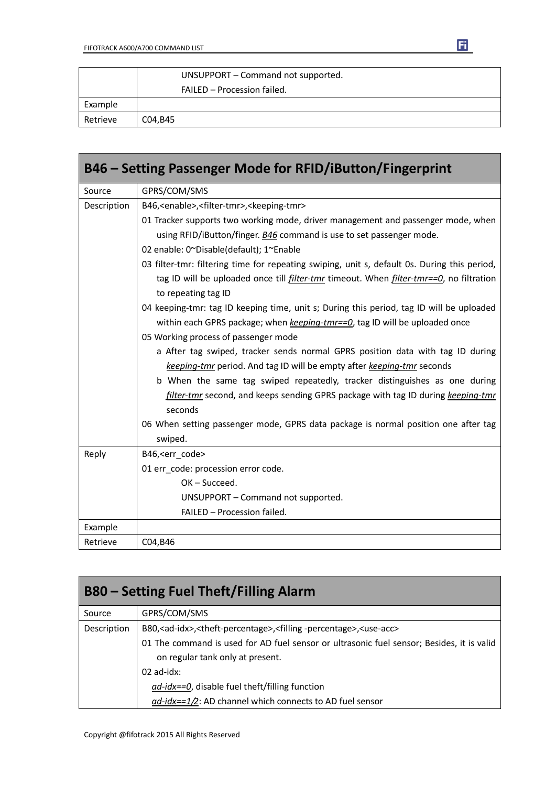|          | UNSUPPORT - Command not supported. |
|----------|------------------------------------|
|          | FAILED - Procession failed.        |
| Example  |                                    |
| Retrieve | C04,B45                            |

|             | B46 - Setting Passenger Mode for RFID/iButton/Fingerprint                                              |
|-------------|--------------------------------------------------------------------------------------------------------|
| Source      | GPRS/COM/SMS                                                                                           |
| Description | B46, <enable>,<filter-tmr>,<keeping-tmr></keeping-tmr></filter-tmr></enable>                           |
|             | 01 Tracker supports two working mode, driver management and passenger mode, when                       |
|             | using RFID/iButton/finger. B46 command is use to set passenger mode.                                   |
|             | 02 enable: 0~Disable(default); 1~Enable                                                                |
|             | 03 filter-tmr: filtering time for repeating swiping, unit s, default 0s. During this period,           |
|             | tag ID will be uploaded once till <i>filter-tmr</i> timeout. When <i>filter-tmr==0</i> , no filtration |
|             | to repeating tag ID                                                                                    |
|             | 04 keeping-tmr: tag ID keeping time, unit s; During this period, tag ID will be uploaded               |
|             | within each GPRS package; when keeping-tmr==0, tag ID will be uploaded once                            |
|             | 05 Working process of passenger mode                                                                   |
|             | a After tag swiped, tracker sends normal GPRS position data with tag ID during                         |
|             | keeping-tmr period. And tag ID will be empty after keeping-tmr seconds                                 |
|             | b When the same tag swiped repeatedly, tracker distinguishes as one during                             |
|             | filter-tmr second, and keeps sending GPRS package with tag ID during keeping-tmr                       |
|             | seconds                                                                                                |
|             | 06 When setting passenger mode, GPRS data package is normal position one after tag                     |
|             | swiped.                                                                                                |
| Reply       | B46, <err_code></err_code>                                                                             |
|             | 01 err code: procession error code.                                                                    |
|             | OK-Succeed.                                                                                            |
|             | UNSUPPORT - Command not supported.                                                                     |
|             | FAILED - Procession failed.                                                                            |
| Example     |                                                                                                        |
| Retrieve    | C04,B46                                                                                                |

| <b>B80 – Setting Fuel Theft/Filling Alarm</b> |                                                                                                                               |
|-----------------------------------------------|-------------------------------------------------------------------------------------------------------------------------------|
| Source                                        | GPRS/COM/SMS                                                                                                                  |
| Description                                   | B80, <ad-idx>,<theft-percentage>,<filling-percentage>,<use-acc></use-acc></filling-percentage></theft-percentage></ad-idx>    |
|                                               | 01 The command is used for AD fuel sensor or ultrasonic fuel sensor; Besides, it is valid<br>on regular tank only at present. |
|                                               | $02$ ad-idx:                                                                                                                  |
|                                               | $ad$ -idx==0, disable fuel theft/filling function                                                                             |
|                                               | $\frac{ad - idx}{=} 1/2$ : AD channel which connects to AD fuel sensor                                                        |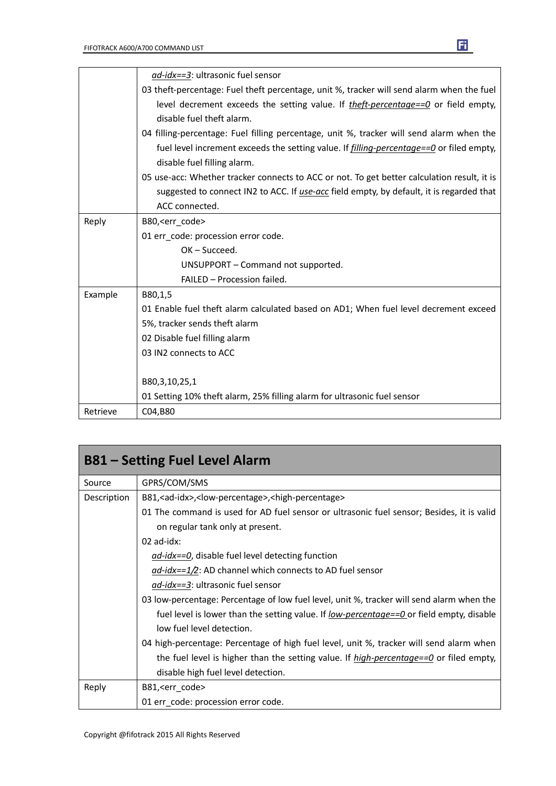|          | ad-idx==3: ultrasonic fuel sensor                                                               |
|----------|-------------------------------------------------------------------------------------------------|
|          | 03 theft-percentage: Fuel theft percentage, unit %, tracker will send alarm when the fuel       |
|          | level decrement exceeds the setting value. If theft-percentage==0 or field empty,               |
|          | disable fuel theft alarm.                                                                       |
|          | 04 filling-percentage: Fuel filling percentage, unit %, tracker will send alarm when the        |
|          | fuel level increment exceeds the setting value. If <i>filling-percentage==0</i> or filed empty, |
|          | disable fuel filling alarm.                                                                     |
|          | 05 use-acc: Whether tracker connects to ACC or not. To get better calculation result, it is     |
|          | suggested to connect IN2 to ACC. If use-acc field empty, by default, it is regarded that        |
|          | ACC connected.                                                                                  |
| Reply    | B80, <err code=""></err>                                                                        |
|          | 01 err code: procession error code.                                                             |
|          | $OK - Succeed.$                                                                                 |
|          | UNSUPPORT - Command not supported.                                                              |
|          | FAILED - Procession failed.                                                                     |
| Example  | B80,1,5                                                                                         |
|          | 01 Enable fuel theft alarm calculated based on AD1; When fuel level decrement exceed            |
|          | 5%, tracker sends theft alarm                                                                   |
|          | 02 Disable fuel filling alarm                                                                   |
|          | 03 IN2 connects to ACC                                                                          |
|          |                                                                                                 |
|          | B80,3,10,25,1                                                                                   |
|          | 01 Setting 10% theft alarm, 25% filling alarm for ultrasonic fuel sensor                        |
| Retrieve | C04,B80                                                                                         |

| <b>B81 – Setting Fuel Level Alarm</b> |                                                                                                 |
|---------------------------------------|-------------------------------------------------------------------------------------------------|
| Source                                | GPRS/COM/SMS                                                                                    |
| Description                           | B81, <ad-idx>,<low-percentage>,<high-percentage></high-percentage></low-percentage></ad-idx>    |
|                                       | 01 The command is used for AD fuel sensor or ultrasonic fuel sensor; Besides, it is valid       |
|                                       | on regular tank only at present.                                                                |
|                                       | $02$ ad-idx:                                                                                    |
|                                       | ad-idx==0, disable fuel level detecting function                                                |
|                                       | $\frac{ad - idx}{=}$ 1/2: AD channel which connects to AD fuel sensor                           |
|                                       | <i>ad-idx==3</i> : ultrasonic fuel sensor                                                       |
|                                       | 03 low-percentage: Percentage of low fuel level, unit %, tracker will send alarm when the       |
|                                       | fuel level is lower than the setting value. If <u>low-percentage==0</u> or field empty, disable |
|                                       | low fuel level detection.                                                                       |
|                                       | 04 high-percentage: Percentage of high fuel level, unit %, tracker will send alarm when         |
|                                       | the fuel level is higher than the setting value. If $high-percentage==0$ or filed empty,        |
|                                       | disable high fuel level detection.                                                              |
| Reply                                 | B81, <err_code></err_code>                                                                      |
|                                       | 01 err code: procession error code.                                                             |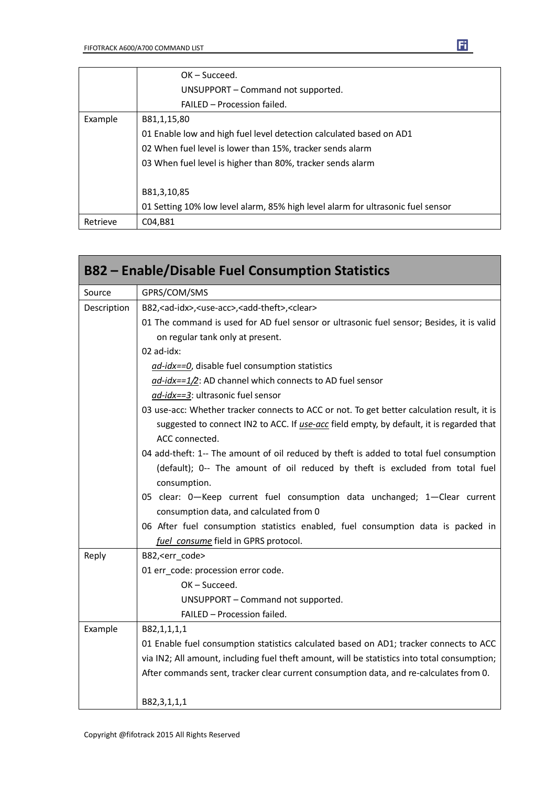|          | $OK - Succeed.$                                                                 |
|----------|---------------------------------------------------------------------------------|
|          | UNSUPPORT – Command not supported.                                              |
|          | FAILED - Procession failed.                                                     |
| Example  | B81,1,15,80                                                                     |
|          | 01 Enable low and high fuel level detection calculated based on AD1             |
|          | 02 When fuel level is lower than 15%, tracker sends alarm                       |
|          | 03 When fuel level is higher than 80%, tracker sends alarm                      |
|          | B81,3,10,85                                                                     |
|          | 01 Setting 10% low level alarm, 85% high level alarm for ultrasonic fuel sensor |
| Retrieve | C04,B81                                                                         |

|             | <b>B82 – Enable/Disable Fuel Consumption Statistics</b>                                      |
|-------------|----------------------------------------------------------------------------------------------|
| Source      | GPRS/COM/SMS                                                                                 |
| Description | B82, <ad-idx>, <use-acc>, <add-theft>, <clear></clear></add-theft></use-acc></ad-idx>        |
|             | 01 The command is used for AD fuel sensor or ultrasonic fuel sensor; Besides, it is valid    |
|             | on regular tank only at present.                                                             |
|             | 02 ad-idx:                                                                                   |
|             | ad-idx==0, disable fuel consumption statistics                                               |
|             | $ad$ -idx==1/2: AD channel which connects to AD fuel sensor                                  |
|             | ad-idx==3: ultrasonic fuel sensor                                                            |
|             | 03 use-acc: Whether tracker connects to ACC or not. To get better calculation result, it is  |
|             | suggested to connect IN2 to ACC. If use-acc field empty, by default, it is regarded that     |
|             | ACC connected.                                                                               |
|             | 04 add-theft: 1-- The amount of oil reduced by theft is added to total fuel consumption      |
|             | (default); 0-- The amount of oil reduced by theft is excluded from total fuel                |
|             | consumption.                                                                                 |
|             | 05 clear: 0-Keep current fuel consumption data unchanged; 1-Clear current                    |
|             | consumption data, and calculated from 0                                                      |
|             | 06 After fuel consumption statistics enabled, fuel consumption data is packed in             |
|             | fuel consume field in GPRS protocol.                                                         |
| Reply       | B82, <err_code></err_code>                                                                   |
|             | 01 err_code: procession error code.                                                          |
|             | OK-Succeed.                                                                                  |
|             | UNSUPPORT - Command not supported.                                                           |
|             | FAILED - Procession failed.                                                                  |
| Example     | B82,1,1,1,1                                                                                  |
|             | 01 Enable fuel consumption statistics calculated based on AD1; tracker connects to ACC       |
|             | via IN2; All amount, including fuel theft amount, will be statistics into total consumption; |
|             | After commands sent, tracker clear current consumption data, and re-calculates from 0.       |
|             | B82,3,1,1,1                                                                                  |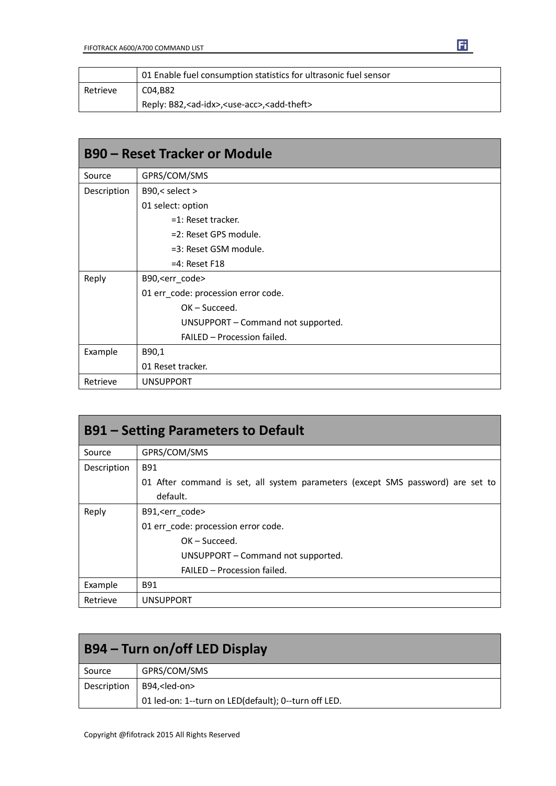|          | 01 Enable fuel consumption statistics for ultrasonic fuel sensor            |
|----------|-----------------------------------------------------------------------------|
| Retrieve | C04.B82                                                                     |
|          | Reply: B82, <ad-idx>, <use-acc>, <add-theft></add-theft></use-acc></ad-idx> |

| <b>B90 - Reset Tracker or Module</b> |                                     |  |
|--------------------------------------|-------------------------------------|--|
| Source                               | GPRS/COM/SMS                        |  |
| Description                          | B90,< select >                      |  |
|                                      | 01 select: option                   |  |
|                                      | $=1$ : Reset tracker.               |  |
|                                      | =2: Reset GPS module.               |  |
|                                      | =3: Reset GSM module.               |  |
|                                      | $=4$ : Reset F18                    |  |
| Reply                                | B90, <err_code></err_code>          |  |
|                                      | 01 err_code: procession error code. |  |
|                                      | $OK - Succeed.$                     |  |
|                                      | UNSUPPORT - Command not supported.  |  |
|                                      | FAILED - Procession failed.         |  |
| Example                              | B90,1                               |  |
|                                      | 01 Reset tracker.                   |  |
| Retrieve                             | <b>UNSUPPORT</b>                    |  |

| <b>B91 – Setting Parameters to Default</b> |                                                                                 |  |  |
|--------------------------------------------|---------------------------------------------------------------------------------|--|--|
| Source                                     | GPRS/COM/SMS                                                                    |  |  |
| Description                                | B91                                                                             |  |  |
|                                            | 01 After command is set, all system parameters (except SMS password) are set to |  |  |
|                                            | default.                                                                        |  |  |
| Reply                                      | B91, <err code=""></err>                                                        |  |  |
|                                            | 01 err code: procession error code.                                             |  |  |
|                                            | $OK - Succeed.$                                                                 |  |  |
|                                            | UNSUPPORT - Command not supported.                                              |  |  |
|                                            | FAILED - Procession failed.                                                     |  |  |
| Example                                    | B91                                                                             |  |  |
| Retrieve                                   | <b>UNSUPPORT</b>                                                                |  |  |

| B94 – Turn on/off LED Display |                                                      |  |
|-------------------------------|------------------------------------------------------|--|
| Source                        | GPRS/COM/SMS                                         |  |
| Description                   | B94, <led-on></led-on>                               |  |
|                               | 01 led-on: 1--turn on LED(default); 0--turn off LED. |  |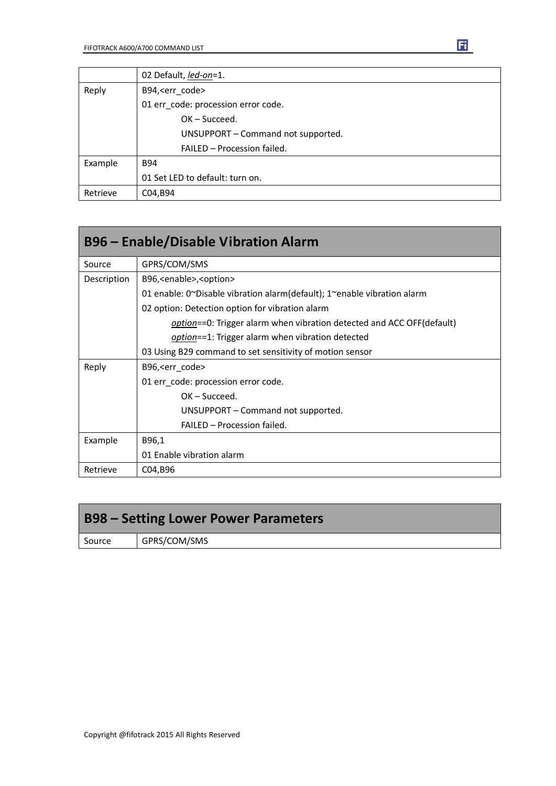|          | 02 Default, led-on=1.               |  |  |
|----------|-------------------------------------|--|--|
| Reply    | B94, <err code=""></err>            |  |  |
|          | 01 err code: procession error code. |  |  |
|          | $OK - Succeed.$                     |  |  |
|          | UNSUPPORT - Command not supported.  |  |  |
|          | FAILED - Procession failed.         |  |  |
| Example  | <b>B94</b>                          |  |  |
|          | 01 Set LED to default: turn on.     |  |  |
| Retrieve | C04,B94                             |  |  |

| <b>B96 - Enable/Disable Vibration Alarm</b> |                                                                         |  |  |
|---------------------------------------------|-------------------------------------------------------------------------|--|--|
| Source                                      | GPRS/COM/SMS                                                            |  |  |
| Description                                 | B96, <enable>, <option></option></enable>                               |  |  |
|                                             | 01 enable: 0~Disable vibration alarm(default); 1~enable vibration alarm |  |  |
|                                             | 02 option: Detection option for vibration alarm                         |  |  |
|                                             | option==0: Trigger alarm when vibration detected and ACC OFF(default)   |  |  |
|                                             | option==1: Trigger alarm when vibration detected                        |  |  |
|                                             | 03 Using B29 command to set sensitivity of motion sensor                |  |  |
| Reply                                       | B96, < err_code>                                                        |  |  |
|                                             | 01 err code: procession error code.                                     |  |  |
|                                             | $OK - Succeed.$                                                         |  |  |
|                                             | UNSUPPORT - Command not supported.                                      |  |  |
|                                             | FAILED - Procession failed.                                             |  |  |
| Example                                     | B96,1                                                                   |  |  |
|                                             | 01 Enable vibration alarm                                               |  |  |
| Retrieve                                    | C04,B96                                                                 |  |  |

|        | <b>B98 – Setting Lower Power Parameters</b> |  |  |
|--------|---------------------------------------------|--|--|
| Source | GPRS/COM/SMS                                |  |  |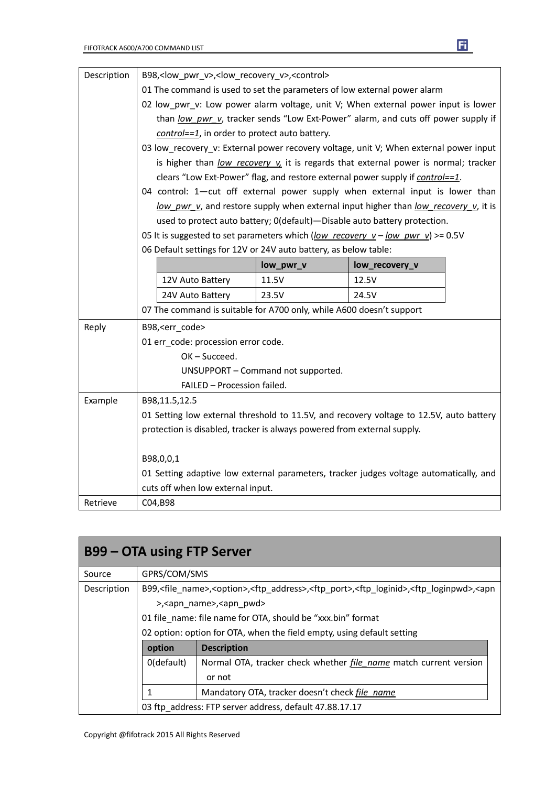| Description | B98, <low_pwr_v>,<low_recovery_v>,<control></control></low_recovery_v></low_pwr_v>      |                                                                                       |           |                |  |  |
|-------------|-----------------------------------------------------------------------------------------|---------------------------------------------------------------------------------------|-----------|----------------|--|--|
|             |                                                                                         | 01 The command is used to set the parameters of low external power alarm              |           |                |  |  |
|             |                                                                                         | 02 low_pwr_v: Low power alarm voltage, unit V; When external power input is lower     |           |                |  |  |
|             |                                                                                         | than low pwr v, tracker sends "Low Ext-Power" alarm, and cuts off power supply if     |           |                |  |  |
|             |                                                                                         | control==1, in order to protect auto battery.                                         |           |                |  |  |
|             |                                                                                         | 03 low_recovery_v: External power recovery voltage, unit V; When external power input |           |                |  |  |
|             |                                                                                         | is higher than low recovery v, it is regards that external power is normal; tracker   |           |                |  |  |
|             |                                                                                         | clears "Low Ext-Power" flag, and restore external power supply if control==1.         |           |                |  |  |
|             |                                                                                         | 04 control: 1-cut off external power supply when external input is lower than         |           |                |  |  |
|             |                                                                                         | low pwr v, and restore supply when external input higher than low recovery v, it is   |           |                |  |  |
|             |                                                                                         | used to protect auto battery; 0(default)-Disable auto battery protection.             |           |                |  |  |
|             |                                                                                         | 05 It is suggested to set parameters which (low recovery $v - low$ pwr v) >= 0.5V     |           |                |  |  |
|             |                                                                                         | 06 Default settings for 12V or 24V auto battery, as below table:                      |           |                |  |  |
|             |                                                                                         |                                                                                       | low_pwr_v | low_recovery_v |  |  |
|             |                                                                                         | 12V Auto Battery                                                                      | 11.5V     | 12.5V          |  |  |
|             |                                                                                         | 24V Auto Battery                                                                      | 23.5V     | 24.5V          |  |  |
|             |                                                                                         | 07 The command is suitable for A700 only, while A600 doesn't support                  |           |                |  |  |
| Reply       |                                                                                         | B98, <err_code></err_code>                                                            |           |                |  |  |
|             |                                                                                         | 01 err_code: procession error code.                                                   |           |                |  |  |
|             | OK-Succeed.                                                                             |                                                                                       |           |                |  |  |
|             |                                                                                         | UNSUPPORT - Command not supported.                                                    |           |                |  |  |
|             |                                                                                         | FAILED - Procession failed.                                                           |           |                |  |  |
| Example     | B98,11.5,12.5                                                                           |                                                                                       |           |                |  |  |
|             | 01 Setting low external threshold to 11.5V, and recovery voltage to 12.5V, auto battery |                                                                                       |           |                |  |  |
|             | protection is disabled, tracker is always powered from external supply.                 |                                                                                       |           |                |  |  |
|             |                                                                                         |                                                                                       |           |                |  |  |
|             | B98,0,0,1                                                                               |                                                                                       |           |                |  |  |
|             | 01 Setting adaptive low external parameters, tracker judges voltage automatically, and  |                                                                                       |           |                |  |  |
|             |                                                                                         | cuts off when low external input.                                                     |           |                |  |  |
| Retrieve    | C04,B98                                                                                 |                                                                                       |           |                |  |  |

| <b>B99 – OTA using FTP Server</b> |                                                                                                                                                            |                                                                          |  |
|-----------------------------------|------------------------------------------------------------------------------------------------------------------------------------------------------------|--------------------------------------------------------------------------|--|
| Source                            | GPRS/COM/SMS                                                                                                                                               |                                                                          |  |
| Description                       | B99, <file name="">,<option>,<ftp address="">,<ftp port="">,<ftp loginid="">,<ftp loginpwd="">,<apn< td=""></apn<></ftp></ftp></ftp></ftp></option></file> |                                                                          |  |
|                                   | >, <apn_name>,<apn_pwd></apn_pwd></apn_name>                                                                                                               |                                                                          |  |
|                                   | 01 file name: file name for OTA, should be "xxx.bin" format                                                                                                |                                                                          |  |
|                                   | 02 option: option for OTA, when the field empty, using default setting                                                                                     |                                                                          |  |
|                                   | option                                                                                                                                                     | <b>Description</b>                                                       |  |
|                                   | 0(default)                                                                                                                                                 | Normal OTA, tracker check whether <i>file name</i> match current version |  |
|                                   |                                                                                                                                                            | or not                                                                   |  |
|                                   |                                                                                                                                                            | Mandatory OTA, tracker doesn't check file name                           |  |
|                                   | 03 ftp address: FTP server address, default 47.88.17.17                                                                                                    |                                                                          |  |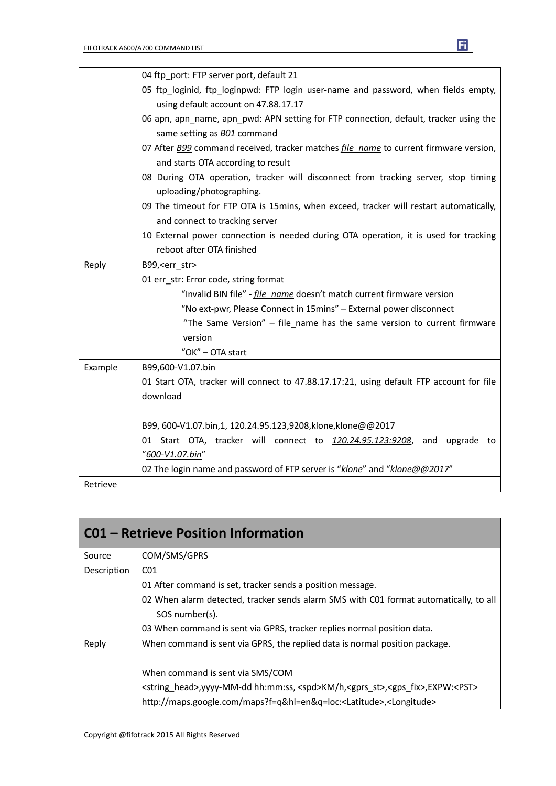

|          | 04 ftp port: FTP server port, default 21                                                            |
|----------|-----------------------------------------------------------------------------------------------------|
|          | 05 ftp_loginid, ftp_loginpwd: FTP login user-name and password, when fields empty,                  |
|          | using default account on 47.88.17.17                                                                |
|          | 06 apn, apn_name, apn_pwd: APN setting for FTP connection, default, tracker using the               |
|          | same setting as <b>BO1</b> command                                                                  |
|          | 07 After <b>B99</b> command received, tracker matches <i>file name</i> to current firmware version, |
|          | and starts OTA according to result                                                                  |
|          | 08 During OTA operation, tracker will disconnect from tracking server, stop timing                  |
|          | uploading/photographing.                                                                            |
|          | 09 The timeout for FTP OTA is 15mins, when exceed, tracker will restart automatically,              |
|          | and connect to tracking server                                                                      |
|          | 10 External power connection is needed during OTA operation, it is used for tracking                |
|          | reboot after OTA finished                                                                           |
| Reply    | B99, < err str>                                                                                     |
|          | 01 err_str: Error code, string format                                                               |
|          | "Invalid BIN file" - <i>file name</i> doesn't match current firmware version                        |
|          | "No ext-pwr, Please Connect in 15mins" - External power disconnect                                  |
|          | "The Same Version" - file_name has the same version to current firmware                             |
|          | version                                                                                             |
|          | "OK" - OTA start                                                                                    |
| Example  | B99,600-V1.07.bin                                                                                   |
|          | 01 Start OTA, tracker will connect to 47.88.17.17:21, using default FTP account for file            |
|          | download                                                                                            |
|          |                                                                                                     |
|          | B99, 600-V1.07.bin,1, 120.24.95.123,9208,klone,klone@@2017                                          |
|          | 01 Start OTA, tracker will connect to 120.24.95.123:9208, and upgrade to                            |
|          | "600-V1.07.bin"                                                                                     |
|          | 02 The login name and password of FTP server is "klone" and "klone@@2017"                           |
| Retrieve |                                                                                                     |

| <b>CO1 - Retrieve Position Information</b> |                                                                                                                            |  |
|--------------------------------------------|----------------------------------------------------------------------------------------------------------------------------|--|
| Source                                     | COM/SMS/GPRS                                                                                                               |  |
| Description<br>CO <sub>1</sub>             |                                                                                                                            |  |
|                                            | 01 After command is set, tracker sends a position message.                                                                 |  |
|                                            | 02 When alarm detected, tracker sends alarm SMS with C01 format automatically, to all                                      |  |
|                                            | SOS number(s).                                                                                                             |  |
|                                            | 03 When command is sent via GPRS, tracker replies normal position data.                                                    |  |
| Reply                                      | When command is sent via GPRS, the replied data is normal position package.                                                |  |
|                                            | When command is sent via SMS/COM                                                                                           |  |
|                                            | <string head="">, yyyy-MM-dd hh:mm:ss, <spd>KM/h, <gprs st="">, <gps fix="">, EXPW:<pst></pst></gps></gprs></spd></string> |  |
|                                            | http://maps.google.com/maps?f=q&hl=en&q=loc: <latitude>,<longitude></longitude></latitude>                                 |  |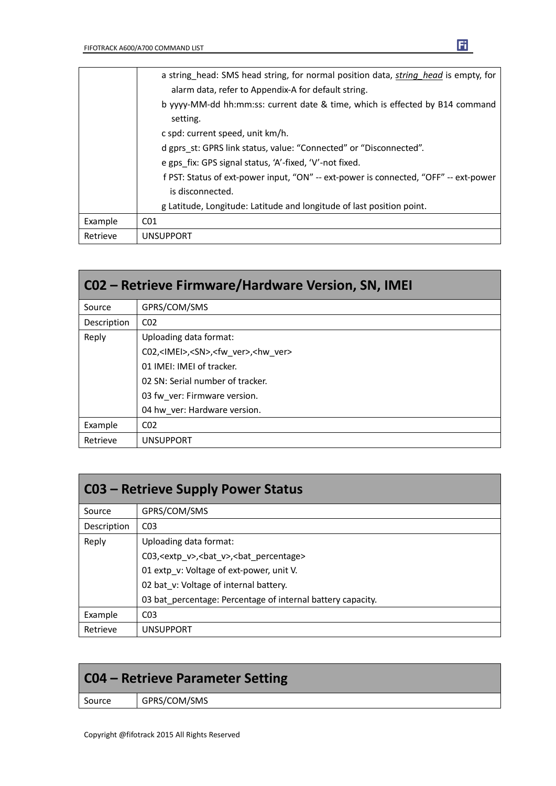|          | a string head: SMS head string, for normal position data, string head is empty, for  |
|----------|--------------------------------------------------------------------------------------|
|          | alarm data, refer to Appendix-A for default string.                                  |
|          | b yyyy-MM-dd hh:mm:ss: current date & time, which is effected by B14 command         |
|          | setting.                                                                             |
|          | c spd: current speed, unit km/h.                                                     |
|          | d gprs st: GPRS link status, value: "Connected" or "Disconnected".                   |
|          | e gps fix: GPS signal status, 'A'-fixed, 'V'-not fixed.                              |
|          | f PST: Status of ext-power input, "ON" -- ext-power is connected, "OFF" -- ext-power |
|          | is disconnected.                                                                     |
|          | g Latitude, Longitude: Latitude and longitude of last position point.                |
| Example  | CO <sub>1</sub>                                                                      |
| Retrieve | <b>UNSUPPORT</b>                                                                     |

| CO2 - Retrieve Firmware/Hardware Version, SN, IMEI |                                                                  |  |  |
|----------------------------------------------------|------------------------------------------------------------------|--|--|
| Source                                             | GPRS/COM/SMS                                                     |  |  |
| Description                                        | CO <sub>2</sub>                                                  |  |  |
| Reply                                              | Uploading data format:                                           |  |  |
|                                                    | C02, <imei>,<sn>,<fw_ver>,<hw_ver></hw_ver></fw_ver></sn></imei> |  |  |
|                                                    | 01 IMEI: IMEI of tracker.                                        |  |  |
|                                                    | 02 SN: Serial number of tracker.                                 |  |  |
|                                                    | 03 fw ver: Firmware version.                                     |  |  |
|                                                    | 04 hw ver: Hardware version.                                     |  |  |
| Example                                            | CO <sub>2</sub>                                                  |  |  |
| Retrieve                                           | <b>UNSUPPORT</b>                                                 |  |  |

| <b>C03 - Retrieve Supply Power Status</b> |                                                                  |  |  |  |
|-------------------------------------------|------------------------------------------------------------------|--|--|--|
| Source                                    | GPRS/COM/SMS                                                     |  |  |  |
| Description                               | CO <sub>3</sub>                                                  |  |  |  |
| Reply                                     | Uploading data format:                                           |  |  |  |
|                                           | C03, <extp v="">, <br/>bat v&gt;, <br/>bat percentage&gt;</extp> |  |  |  |
|                                           | 01 extp v: Voltage of ext-power, unit V.                         |  |  |  |
|                                           | 02 bat v: Voltage of internal battery.                           |  |  |  |
|                                           | 03 bat percentage: Percentage of internal battery capacity.      |  |  |  |
| Example                                   | C <sub>03</sub>                                                  |  |  |  |
| Retrieve                                  | <b>UNSUPPORT</b>                                                 |  |  |  |

| C04 – Retrieve Parameter Setting |  |  |  |
|----------------------------------|--|--|--|
| GPRS/COM/SMS<br>Source           |  |  |  |
|                                  |  |  |  |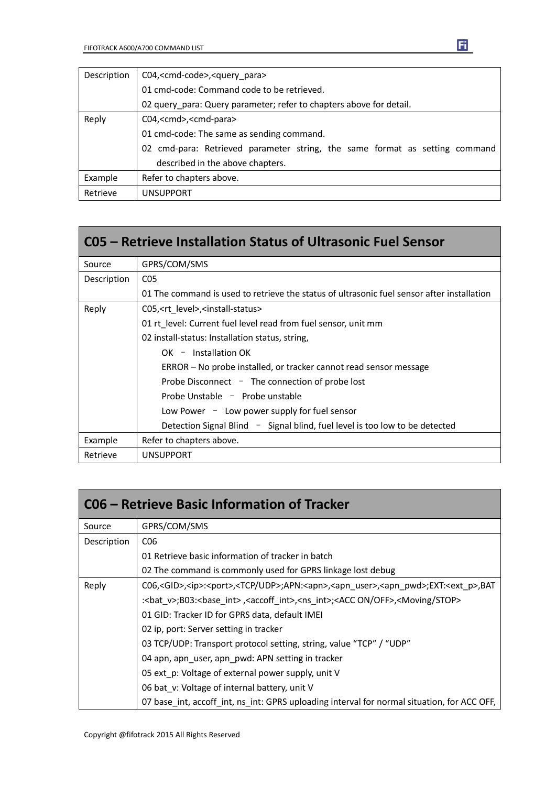| Description | C04, <cmd-code>,<query_para></query_para></cmd-code>                        |  |  |
|-------------|-----------------------------------------------------------------------------|--|--|
|             | 01 cmd-code: Command code to be retrieved.                                  |  |  |
|             | 02 query para: Query parameter; refer to chapters above for detail.         |  |  |
| Reply       | C04, <cmd>,<cmd-para></cmd-para></cmd>                                      |  |  |
|             | 01 cmd-code: The same as sending command.                                   |  |  |
|             | 02 cmd-para: Retrieved parameter string, the same format as setting command |  |  |
|             | described in the above chapters.                                            |  |  |
| Example     | Refer to chapters above.                                                    |  |  |
| Retrieve    | <b>UNSUPPORT</b>                                                            |  |  |

|                                                                                            | C05 – Retrieve Installation Status of Ultrasonic Fuel Sensor                     |  |  |
|--------------------------------------------------------------------------------------------|----------------------------------------------------------------------------------|--|--|
| Source                                                                                     | GPRS/COM/SMS                                                                     |  |  |
| Description                                                                                | C <sub>05</sub>                                                                  |  |  |
| 01 The command is used to retrieve the status of ultrasonic fuel sensor after installation |                                                                                  |  |  |
| Reply                                                                                      | C05, <rt level="">,<install-status></install-status></rt>                        |  |  |
|                                                                                            | 01 rt level: Current fuel level read from fuel sensor, unit mm                   |  |  |
|                                                                                            | 02 install-status: Installation status, string,                                  |  |  |
|                                                                                            | $OK -$ Installation OK                                                           |  |  |
|                                                                                            | ERROR – No probe installed, or tracker cannot read sensor message                |  |  |
|                                                                                            | Probe Disconnect $-$ The connection of probe lost                                |  |  |
|                                                                                            | Probe Unstable - Probe unstable                                                  |  |  |
|                                                                                            | Low Power - Low power supply for fuel sensor                                     |  |  |
|                                                                                            | Detection Signal Blind $\sim$ Signal blind, fuel level is too low to be detected |  |  |
| Example                                                                                    | Refer to chapters above.                                                         |  |  |
| Retrieve                                                                                   | <b>UNSUPPORT</b>                                                                 |  |  |

| C06 – Retrieve Basic Information of Tracker |                                                                                                                                               |  |
|---------------------------------------------|-----------------------------------------------------------------------------------------------------------------------------------------------|--|
| Source                                      | GPRS/COM/SMS                                                                                                                                  |  |
| Description                                 | C <sub>06</sub>                                                                                                                               |  |
|                                             | 01 Retrieve basic information of tracker in batch                                                                                             |  |
|                                             | 02 The command is commonly used for GPRS linkage lost debug                                                                                   |  |
| Reply                                       | C06, <gid>,<ip>:<port>,<tcp udp="">;APN:<apn>,<apn_user>,<apn_pwd>;EXT:<ext_p>,BAT</ext_p></apn_pwd></apn_user></apn></tcp></port></ip></gid> |  |
|                                             | : <bat v="">;B03:<base int=""/>,<accoff int="">,<ns int="">;<acc off="" on="">,<moving stop=""></moving></acc></ns></accoff></bat>            |  |
|                                             | 01 GID: Tracker ID for GPRS data, default IMEI                                                                                                |  |
|                                             | 02 ip, port: Server setting in tracker                                                                                                        |  |
|                                             | 03 TCP/UDP: Transport protocol setting, string, value "TCP" / "UDP"                                                                           |  |
|                                             | 04 apn, apn user, apn pwd: APN setting in tracker                                                                                             |  |
|                                             | 05 ext_p: Voltage of external power supply, unit V                                                                                            |  |
|                                             | 06 bat v: Voltage of internal battery, unit V                                                                                                 |  |
|                                             | 07 base int, accoff int, ns int: GPRS uploading interval for normal situation, for ACC OFF,                                                   |  |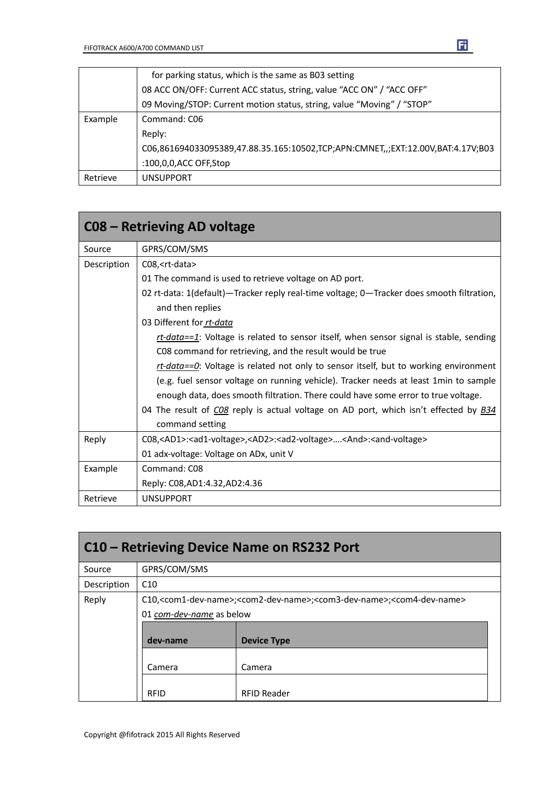|          | for parking status, which is the same as B03 setting                            |  |  |  |
|----------|---------------------------------------------------------------------------------|--|--|--|
|          | 08 ACC ON/OFF: Current ACC status, string, value "ACC ON" / "ACC OFF"           |  |  |  |
|          | 09 Moving/STOP: Current motion status, string, value "Moving" / "STOP"          |  |  |  |
| Example  | Command: C06                                                                    |  |  |  |
|          | Reply:                                                                          |  |  |  |
|          | C06,861694033095389,47.88.35.165:10502,TCP;APN:CMNET,,;EXT:12.00V,BAT:4.17V;B03 |  |  |  |
|          | :100,0,0,ACC OFF,Stop                                                           |  |  |  |
| Retrieve | <b>UNSUPPORT</b>                                                                |  |  |  |

|             | C08 – Retrieving AD voltage                                                                                                 |  |  |  |
|-------------|-----------------------------------------------------------------------------------------------------------------------------|--|--|--|
| Source      | GPRS/COM/SMS                                                                                                                |  |  |  |
| Description | C08, <rt-data></rt-data>                                                                                                    |  |  |  |
|             | 01 The command is used to retrieve voltage on AD port.                                                                      |  |  |  |
|             | 02 rt-data: 1(default)—Tracker reply real-time voltage; 0—Tracker does smooth filtration,                                   |  |  |  |
|             | and then replies                                                                                                            |  |  |  |
|             | 03 Different for rt-data                                                                                                    |  |  |  |
|             | $rt\text{-}data == 1$ : Voltage is related to sensor itself, when sensor signal is stable, sending                          |  |  |  |
|             | C08 command for retrieving, and the result would be true                                                                    |  |  |  |
|             | $rt\text{-}data == 0$ : Voltage is related not only to sensor itself, but to working environment                            |  |  |  |
|             | (e.g. fuel sensor voltage on running vehicle). Tracker needs at least 1min to sample                                        |  |  |  |
|             | enough data, does smooth filtration. There could have some error to true voltage.                                           |  |  |  |
|             | 04 The result of CO8 reply is actual voltage on AD port, which isn't effected by <b>B34</b>                                 |  |  |  |
|             | command setting                                                                                                             |  |  |  |
| Reply       | C08, <ad1>:<ad1-voltage>,<ad2>:<ad2-voltage><and>:<and-voltage></and-voltage></and></ad2-voltage></ad2></ad1-voltage></ad1> |  |  |  |
|             | 01 adx-voltage: Voltage on ADx, unit V                                                                                      |  |  |  |
| Example     | Command: C08                                                                                                                |  |  |  |
|             | Reply: C08, AD1: 4.32, AD2: 4.36                                                                                            |  |  |  |
| Retrieve    | <b>UNSUPPORT</b>                                                                                                            |  |  |  |

| C10 – Retrieving Device Name on RS232 Port |                                                                                                                                                                   |                    |  |
|--------------------------------------------|-------------------------------------------------------------------------------------------------------------------------------------------------------------------|--------------------|--|
| Source                                     | GPRS/COM/SMS                                                                                                                                                      |                    |  |
| Description                                | C10                                                                                                                                                               |                    |  |
| Reply                                      | C10, <com1-dev-name>;<com2-dev-name>;<com3-dev-name>;<com4-dev-name><br/>01 com-dev-name as below</com4-dev-name></com3-dev-name></com2-dev-name></com1-dev-name> |                    |  |
|                                            | dev-name                                                                                                                                                          | <b>Device Type</b> |  |
|                                            | Camera                                                                                                                                                            | Camera             |  |
|                                            | <b>RFID</b>                                                                                                                                                       | <b>RFID Reader</b> |  |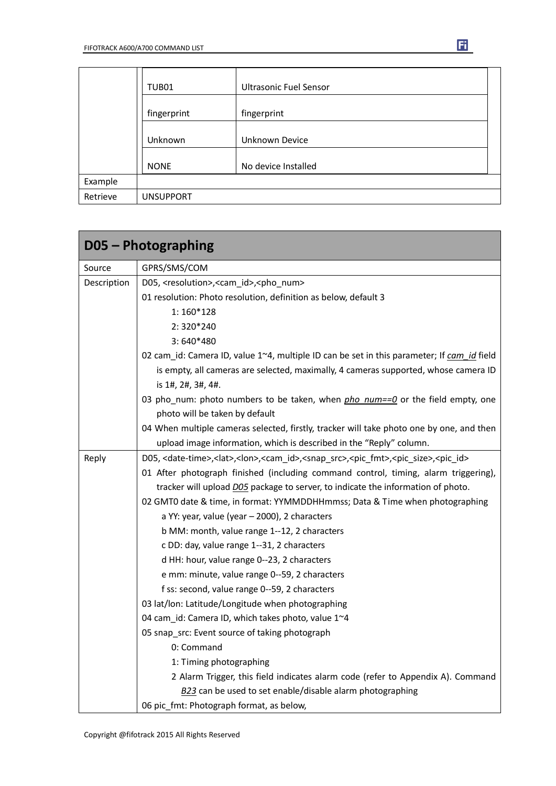|          | TUB01            | <b>Ultrasonic Fuel Sensor</b> |
|----------|------------------|-------------------------------|
|          | fingerprint      | fingerprint                   |
|          | Unknown          | Unknown Device                |
|          | <b>NONE</b>      | No device Installed           |
| Example  |                  |                               |
| Retrieve | <b>UNSUPPORT</b> |                               |

|             | D05 - Photographing                                                                                                                                      |  |  |  |
|-------------|----------------------------------------------------------------------------------------------------------------------------------------------------------|--|--|--|
| Source      | GPRS/SMS/COM                                                                                                                                             |  |  |  |
| Description | D05, <resolution>,<cam_id>,<pho_num></pho_num></cam_id></resolution>                                                                                     |  |  |  |
|             | 01 resolution: Photo resolution, definition as below, default 3                                                                                          |  |  |  |
|             | $1:160*128$                                                                                                                                              |  |  |  |
|             | $2:320*240$                                                                                                                                              |  |  |  |
|             | $3:640*480$                                                                                                                                              |  |  |  |
|             | 02 cam_id: Camera ID, value 1~4, multiple ID can be set in this parameter; If cam_id field                                                               |  |  |  |
|             | is empty, all cameras are selected, maximally, 4 cameras supported, whose camera ID                                                                      |  |  |  |
|             | is 1#, 2#, 3#, 4#.                                                                                                                                       |  |  |  |
|             | 03 pho_num: photo numbers to be taken, when pho_num==0 or the field empty, one                                                                           |  |  |  |
|             | photo will be taken by default                                                                                                                           |  |  |  |
|             | 04 When multiple cameras selected, firstly, tracker will take photo one by one, and then                                                                 |  |  |  |
|             | upload image information, which is described in the "Reply" column.                                                                                      |  |  |  |
| Reply       | D05, <date-time>,<lat>,<lon>,<cam_id>,<snap_src>,<pic_fmt>,<pic_size>,<pic_id></pic_id></pic_size></pic_fmt></snap_src></cam_id></lon></lat></date-time> |  |  |  |
|             | 01 After photograph finished (including command control, timing, alarm triggering),                                                                      |  |  |  |
|             | tracker will upload DO5 package to server, to indicate the information of photo.                                                                         |  |  |  |
|             | 02 GMT0 date & time, in format: YYMMDDHHmmss; Data & Time when photographing                                                                             |  |  |  |
|             | a YY: year, value (year - 2000), 2 characters                                                                                                            |  |  |  |
|             | b MM: month, value range 1--12, 2 characters                                                                                                             |  |  |  |
|             | c DD: day, value range 1--31, 2 characters                                                                                                               |  |  |  |
|             | d HH: hour, value range 0--23, 2 characters                                                                                                              |  |  |  |
|             | e mm: minute, value range 0--59, 2 characters                                                                                                            |  |  |  |
|             | f ss: second, value range 0--59, 2 characters                                                                                                            |  |  |  |
|             | 03 lat/lon: Latitude/Longitude when photographing                                                                                                        |  |  |  |
|             | 04 cam id: Camera ID, which takes photo, value 1~4                                                                                                       |  |  |  |
|             | 05 snap_src: Event source of taking photograph                                                                                                           |  |  |  |
|             | 0: Command                                                                                                                                               |  |  |  |
|             | 1: Timing photographing                                                                                                                                  |  |  |  |
|             | 2 Alarm Trigger, this field indicates alarm code (refer to Appendix A). Command                                                                          |  |  |  |
|             | B23 can be used to set enable/disable alarm photographing                                                                                                |  |  |  |
|             | 06 pic_fmt: Photograph format, as below,                                                                                                                 |  |  |  |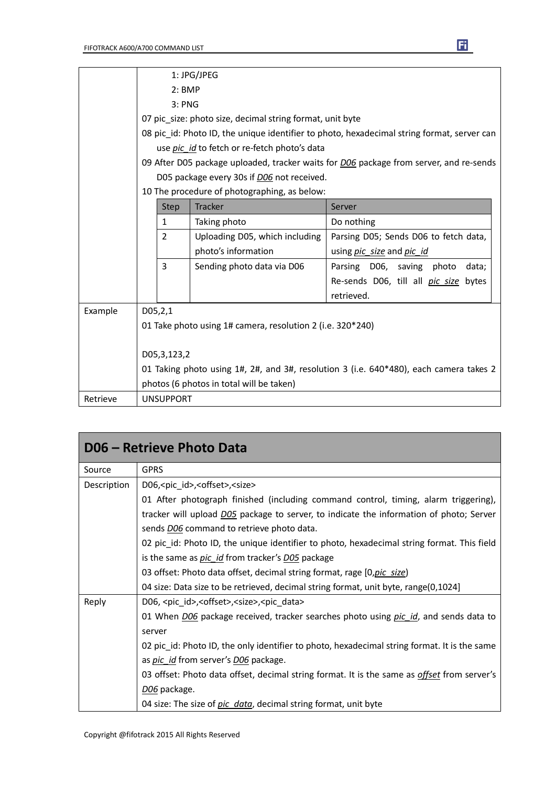|          | 1: JPG/JPEG                                                                                   |                |                                              |                                                                                        |
|----------|-----------------------------------------------------------------------------------------------|----------------|----------------------------------------------|----------------------------------------------------------------------------------------|
|          | $2:$ BMP                                                                                      |                |                                              |                                                                                        |
|          | 3: PNG                                                                                        |                |                                              |                                                                                        |
|          | 07 pic size: photo size, decimal string format, unit byte                                     |                |                                              |                                                                                        |
|          | 08 pic_id: Photo ID, the unique identifier to photo, hexadecimal string format, server can    |                |                                              |                                                                                        |
|          |                                                                                               |                | use pic id to fetch or re-fetch photo's data |                                                                                        |
|          | 09 After D05 package uploaded, tracker waits for <i>D06</i> package from server, and re-sends |                |                                              |                                                                                        |
|          | D05 package every 30s if D06 not received.                                                    |                |                                              |                                                                                        |
|          |                                                                                               |                | 10 The procedure of photographing, as below: |                                                                                        |
|          |                                                                                               | <b>Step</b>    | <b>Tracker</b>                               | Server                                                                                 |
|          |                                                                                               | 1              | Taking photo                                 | Do nothing                                                                             |
|          |                                                                                               | $\overline{2}$ | Uploading D05, which including               | Parsing D05; Sends D06 to fetch data,                                                  |
|          |                                                                                               |                | photo's information                          | using pic_size and pic_id                                                              |
|          |                                                                                               | 3              | Sending photo data via D06                   | Parsing D06, saving photo<br>data;                                                     |
|          |                                                                                               |                |                                              | Re-sends D06, till all <i>pic size</i> bytes                                           |
|          |                                                                                               |                |                                              | retrieved.                                                                             |
| Example  | D05, 2, 1                                                                                     |                |                                              |                                                                                        |
|          | 01 Take photo using 1# camera, resolution 2 (i.e. 320*240)                                    |                |                                              |                                                                                        |
|          |                                                                                               |                |                                              |                                                                                        |
|          | D05,3,123,2                                                                                   |                |                                              |                                                                                        |
|          |                                                                                               |                |                                              | 01 Taking photo using 1#, 2#, and 3#, resolution 3 (i.e. 640*480), each camera takes 2 |
|          | photos (6 photos in total will be taken)                                                      |                |                                              |                                                                                        |
| Retrieve | <b>UNSUPPORT</b>                                                                              |                |                                              |                                                                                        |

| D06 - Retrieve Photo Data |                                                                                                     |  |  |  |
|---------------------------|-----------------------------------------------------------------------------------------------------|--|--|--|
| Source                    | <b>GPRS</b>                                                                                         |  |  |  |
| Description               | D06, <pic_id>,<offset>,<size></size></offset></pic_id>                                              |  |  |  |
|                           | 01 After photograph finished (including command control, timing, alarm triggering),                 |  |  |  |
|                           | tracker will upload D05 package to server, to indicate the information of photo; Server             |  |  |  |
|                           | sends <b>DO6</b> command to retrieve photo data.                                                    |  |  |  |
|                           | 02 pic_id: Photo ID, the unique identifier to photo, hexadecimal string format. This field          |  |  |  |
|                           | is the same as <i>pic id</i> from tracker's <i>D05</i> package                                      |  |  |  |
|                           | 03 offset: Photo data offset, decimal string format, rage [0, pic size]                             |  |  |  |
|                           | 04 size: Data size to be retrieved, decimal string format, unit byte, range(0,1024]                 |  |  |  |
| Reply                     | D06, <pic_id>,<offset>,<size>,<pic_data></pic_data></size></offset></pic_id>                        |  |  |  |
|                           | 01 When <i>DO6</i> package received, tracker searches photo using <i>pic id</i> , and sends data to |  |  |  |
|                           | server                                                                                              |  |  |  |
|                           | 02 pic id: Photo ID, the only identifier to photo, hexadecimal string format. It is the same        |  |  |  |
|                           | as <i>pic id</i> from server's <i>D06</i> package.                                                  |  |  |  |
|                           | 03 offset: Photo data offset, decimal string format. It is the same as <i>offset</i> from server's  |  |  |  |
|                           | D <sub>06</sub> package.                                                                            |  |  |  |
|                           | 04 size: The size of pic_data, decimal string format, unit byte                                     |  |  |  |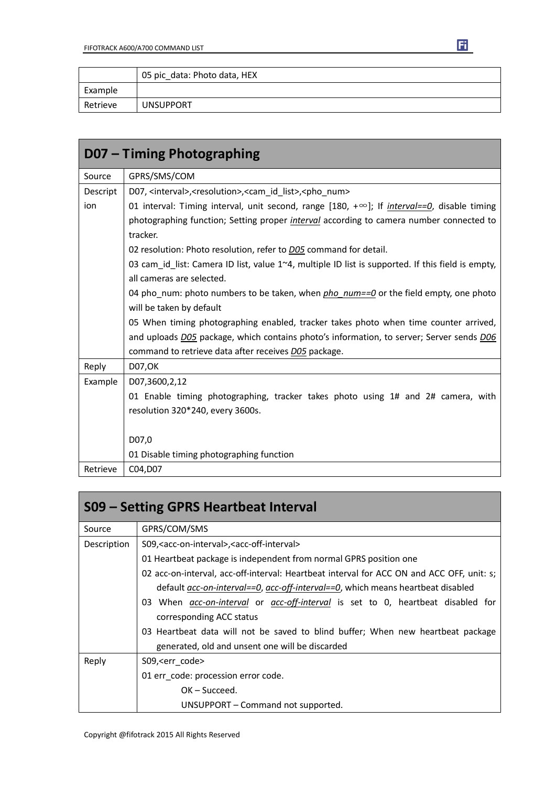|          | 05 pic data: Photo data, HEX |
|----------|------------------------------|
| Example  |                              |
| Retrieve | <b>UNSUPPORT</b>             |

| D07 – Timing Photographing |                                                                                                            |  |  |  |
|----------------------------|------------------------------------------------------------------------------------------------------------|--|--|--|
| Source                     | GPRS/SMS/COM                                                                                               |  |  |  |
| Descript                   | D07, <interval>, <resolution>, <cam id="" list="">, <pho num=""></pho></cam></resolution></interval>       |  |  |  |
| ion                        | 01 interval: Timing interval, unit second, range [180, $+\infty$ ]; If <i>interval==0</i> , disable timing |  |  |  |
|                            | photographing function; Setting proper <i>interval</i> according to camera number connected to             |  |  |  |
|                            | tracker.                                                                                                   |  |  |  |
|                            | 02 resolution: Photo resolution, refer to <b>D05</b> command for detail.                                   |  |  |  |
|                            | 03 cam_id_list: Camera ID list, value $1 \sim 4$ , multiple ID list is supported. If this field is empty,  |  |  |  |
|                            | all cameras are selected.                                                                                  |  |  |  |
|                            | 04 pho_num: photo numbers to be taken, when pho_num==0 or the field empty, one photo                       |  |  |  |
|                            | will be taken by default                                                                                   |  |  |  |
|                            | 05 When timing photographing enabled, tracker takes photo when time counter arrived,                       |  |  |  |
|                            | and uploads D05 package, which contains photo's information, to server; Server sends D06                   |  |  |  |
|                            | command to retrieve data after receives D05 package.                                                       |  |  |  |
| Reply                      | <b>D07,OK</b>                                                                                              |  |  |  |
| Example                    | D07,3600,2,12                                                                                              |  |  |  |
|                            | 01 Enable timing photographing, tracker takes photo using 1# and 2# camera, with                           |  |  |  |
|                            | resolution 320*240, every 3600s.                                                                           |  |  |  |
|                            |                                                                                                            |  |  |  |
|                            | D07,0                                                                                                      |  |  |  |
|                            | 01 Disable timing photographing function                                                                   |  |  |  |
| Retrieve                   | C04, D07                                                                                                   |  |  |  |

| S09 – Setting GPRS Heartbeat Interval |                                                                                               |  |  |  |  |
|---------------------------------------|-----------------------------------------------------------------------------------------------|--|--|--|--|
| Source                                | GPRS/COM/SMS                                                                                  |  |  |  |  |
| Description                           | S09, < acc-on-interval >, < acc-off-interval >                                                |  |  |  |  |
|                                       | 01 Heartbeat package is independent from normal GPRS position one                             |  |  |  |  |
|                                       | 02 acc-on-interval, acc-off-interval: Heartbeat interval for ACC ON and ACC OFF, unit: s;     |  |  |  |  |
|                                       | default <i>acc-on-interval==0, acc-off-interval==0</i> , which means heartbeat disabled       |  |  |  |  |
|                                       | 03 When <i>acc-on-interval</i> or <i>acc-off-interval</i> is set to 0, heartbeat disabled for |  |  |  |  |
|                                       | corresponding ACC status                                                                      |  |  |  |  |
|                                       | 03 Heartbeat data will not be saved to blind buffer; When new heartbeat package               |  |  |  |  |
|                                       | generated, old and unsent one will be discarded                                               |  |  |  |  |
| Reply                                 | S09, <err code=""></err>                                                                      |  |  |  |  |
|                                       | 01 err code: procession error code.                                                           |  |  |  |  |
|                                       | $OK - Succeed.$                                                                               |  |  |  |  |
|                                       | UNSUPPORT – Command not supported.                                                            |  |  |  |  |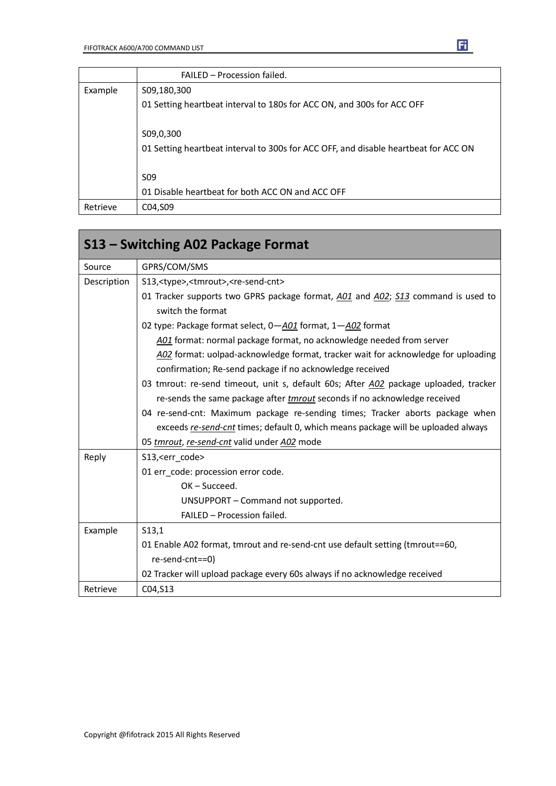|          | FAILED - Procession failed.                                                         |  |  |  |
|----------|-------------------------------------------------------------------------------------|--|--|--|
| Example  | S09,180,300                                                                         |  |  |  |
|          | 01 Setting heartbeat interval to 180s for ACC ON, and 300s for ACC OFF              |  |  |  |
|          | S09,0,300                                                                           |  |  |  |
|          | 01 Setting heartbeat interval to 300s for ACC OFF, and disable heartbeat for ACC ON |  |  |  |
|          | S <sub>09</sub>                                                                     |  |  |  |
|          | 01 Disable heartbeat for both ACC ON and ACC OFF                                    |  |  |  |
| Retrieve | C04, S09                                                                            |  |  |  |

| S13 – Switching A02 Package Format |                                                                                                       |  |  |  |
|------------------------------------|-------------------------------------------------------------------------------------------------------|--|--|--|
| Source                             | GPRS/COM/SMS                                                                                          |  |  |  |
| Description                        | S13, <type>,<tmrout>,<re-send-cnt></re-send-cnt></tmrout></type>                                      |  |  |  |
|                                    | 01 Tracker supports two GPRS package format, A01 and A02; S13 command is used to<br>switch the format |  |  |  |
|                                    | 02 type: Package format select, 0-A01 format, 1-A02 format                                            |  |  |  |
|                                    | A01 format: normal package format, no acknowledge needed from server                                  |  |  |  |
|                                    | A02 format: uolpad-acknowledge format, tracker wait for acknowledge for uploading                     |  |  |  |
|                                    | confirmation; Re-send package if no acknowledge received                                              |  |  |  |
|                                    | 03 tmrout: re-send timeout, unit s, default 60s; After A02 package uploaded, tracker                  |  |  |  |
|                                    | re-sends the same package after tmrout seconds if no acknowledge received                             |  |  |  |
|                                    | 04 re-send-cnt: Maximum package re-sending times; Tracker aborts package when                         |  |  |  |
|                                    | exceeds re-send-cnt times; default 0, which means package will be uploaded always                     |  |  |  |
|                                    | 05 tmrout, re-send-cnt valid under A02 mode                                                           |  |  |  |
| Reply                              | S13, <err_code></err_code>                                                                            |  |  |  |
|                                    | 01 err_code: procession error code.                                                                   |  |  |  |
|                                    | $OK - Succeed.$                                                                                       |  |  |  |
|                                    | UNSUPPORT - Command not supported.                                                                    |  |  |  |
|                                    | FAILED - Procession failed.                                                                           |  |  |  |
| Example                            | S13,1                                                                                                 |  |  |  |
|                                    | 01 Enable A02 format, tmrout and re-send-cnt use default setting (tmrout==60,                         |  |  |  |
|                                    | re-send-cnt==0)                                                                                       |  |  |  |
|                                    | 02 Tracker will upload package every 60s always if no acknowledge received                            |  |  |  |
| Retrieve                           | C04, S13                                                                                              |  |  |  |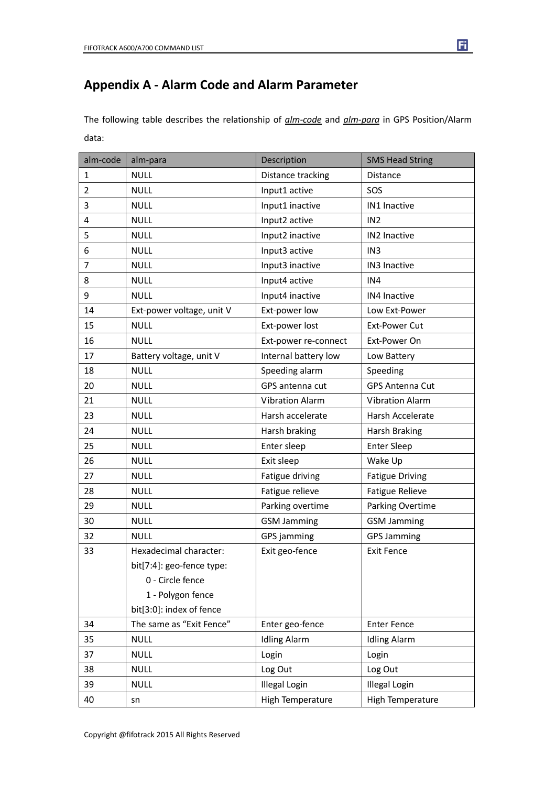### **Appendix A - Alarm Code and Alarm Parameter**

The following table describes the relationship of *alm-code* and *alm-para* in GPS Position/Alarm data:

| alm-code       | alm-para                  | Description            | <b>SMS Head String</b> |
|----------------|---------------------------|------------------------|------------------------|
| $\mathbf{1}$   | <b>NULL</b>               | Distance tracking      | Distance               |
| $\overline{2}$ | <b>NULL</b>               | Input1 active          | SOS                    |
| 3              | <b>NULL</b>               | Input1 inactive        | IN1 Inactive           |
| 4              | <b>NULL</b>               | Input2 active          | IN <sub>2</sub>        |
| 5              | <b>NULL</b>               | Input2 inactive        | IN2 Inactive           |
| 6              | <b>NULL</b>               | Input3 active          | IN3                    |
| $\overline{7}$ | <b>NULL</b>               | Input3 inactive        | IN3 Inactive           |
| 8              | <b>NULL</b>               | Input4 active          | IN4                    |
| 9              | <b>NULL</b>               | Input4 inactive        | IN4 Inactive           |
| 14             | Ext-power voltage, unit V | Ext-power low          | Low Ext-Power          |
| 15             | <b>NULL</b>               | Ext-power lost         | <b>Ext-Power Cut</b>   |
| 16             | <b>NULL</b>               | Ext-power re-connect   | Ext-Power On           |
| 17             | Battery voltage, unit V   | Internal battery low   | Low Battery            |
| 18             | <b>NULL</b>               | Speeding alarm         | Speeding               |
| 20             | <b>NULL</b>               | GPS antenna cut        | <b>GPS Antenna Cut</b> |
| 21             | <b>NULL</b>               | <b>Vibration Alarm</b> | <b>Vibration Alarm</b> |
| 23             | <b>NULL</b>               | Harsh accelerate       | Harsh Accelerate       |
| 24             | <b>NULL</b>               | Harsh braking          | <b>Harsh Braking</b>   |
| 25             | <b>NULL</b>               | Enter sleep            | <b>Enter Sleep</b>     |
| 26             | <b>NULL</b>               | Exit sleep             | Wake Up                |
| 27             | <b>NULL</b>               | Fatigue driving        | <b>Fatigue Driving</b> |
| 28             | <b>NULL</b>               | Fatigue relieve        | <b>Fatigue Relieve</b> |
| 29             | <b>NULL</b>               | Parking overtime       | Parking Overtime       |
| 30             | <b>NULL</b>               | <b>GSM Jamming</b>     | <b>GSM Jamming</b>     |
| 32             | <b>NULL</b>               | GPS jamming            | <b>GPS Jamming</b>     |
| 33             | Hexadecimal character:    | Exit geo-fence         | <b>Exit Fence</b>      |
|                | bit[7:4]: geo-fence type: |                        |                        |
|                | 0 - Circle fence          |                        |                        |
|                | 1 - Polygon fence         |                        |                        |
|                | bit[3:0]: index of fence  |                        |                        |
| 34             | The same as "Exit Fence"  | Enter geo-fence        | <b>Enter Fence</b>     |
| 35             | <b>NULL</b>               | <b>Idling Alarm</b>    | <b>Idling Alarm</b>    |
| 37             | <b>NULL</b>               | Login                  | Login                  |
| 38             | <b>NULL</b>               | Log Out                | Log Out                |
| 39             | <b>NULL</b>               | <b>Illegal Login</b>   | <b>Illegal Login</b>   |
| 40             | sn                        | High Temperature       | High Temperature       |